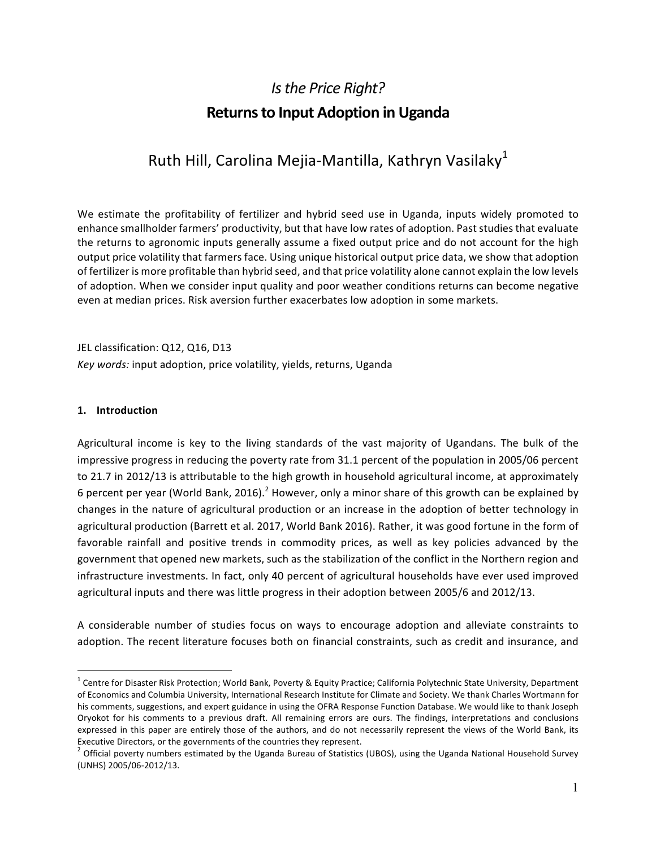# *Is the Price Right?* **Returns to Input Adoption in Uganda**

## Ruth Hill, Carolina Mejia-Mantilla, Kathryn Vasilaky<sup>1</sup>

We estimate the profitability of fertilizer and hybrid seed use in Uganda, inputs widely promoted to enhance smallholder farmers' productivity, but that have low rates of adoption. Past studies that evaluate the returns to agronomic inputs generally assume a fixed output price and do not account for the high output price volatility that farmers face. Using unique historical output price data, we show that adoption of fertilizer is more profitable than hybrid seed, and that price volatility alone cannot explain the low levels of adoption. When we consider input quality and poor weather conditions returns can become negative even at median prices. Risk aversion further exacerbates low adoption in some markets.

JEL classification: Q12, Q16, D13 Key words: input adoption, price volatility, yields, returns, Uganda

#### **1. Introduction**

Agricultural income is key to the living standards of the vast majority of Ugandans. The bulk of the impressive progress in reducing the poverty rate from 31.1 percent of the population in 2005/06 percent to 21.7 in 2012/13 is attributable to the high growth in household agricultural income, at approximately 6 percent per year (World Bank, 2016).<sup>2</sup> However, only a minor share of this growth can be explained by changes in the nature of agricultural production or an increase in the adoption of better technology in agricultural production (Barrett et al. 2017, World Bank 2016). Rather, it was good fortune in the form of favorable rainfall and positive trends in commodity prices, as well as key policies advanced by the government that opened new markets, such as the stabilization of the conflict in the Northern region and infrastructure investments. In fact, only 40 percent of agricultural households have ever used improved agricultural inputs and there was little progress in their adoption between 2005/6 and 2012/13.

A considerable number of studies focus on ways to encourage adoption and alleviate constraints to adoption. The recent literature focuses both on financial constraints, such as credit and insurance, and

 $1$  Centre for Disaster Risk Protection; World Bank, Poverty & Equity Practice; California Polytechnic State University, Department of Economics and Columbia University, International Research Institute for Climate and Society. We thank Charles Wortmann for his comments, suggestions, and expert guidance in using the OFRA Response Function Database. We would like to thank Joseph Oryokot for his comments to a previous draft. All remaining errors are ours. The findings, interpretations and conclusions expressed in this paper are entirely those of the authors, and do not necessarily represent the views of the World Bank, its Executive Directors, or the governments of the countries they represent.<br>
<sup>2</sup> Official poverty numbers estimated by the Uganda Bureau of Statistics (UBOS), using the Uganda National Household Survey

<sup>(</sup>UNHS) 2005/06-2012/13.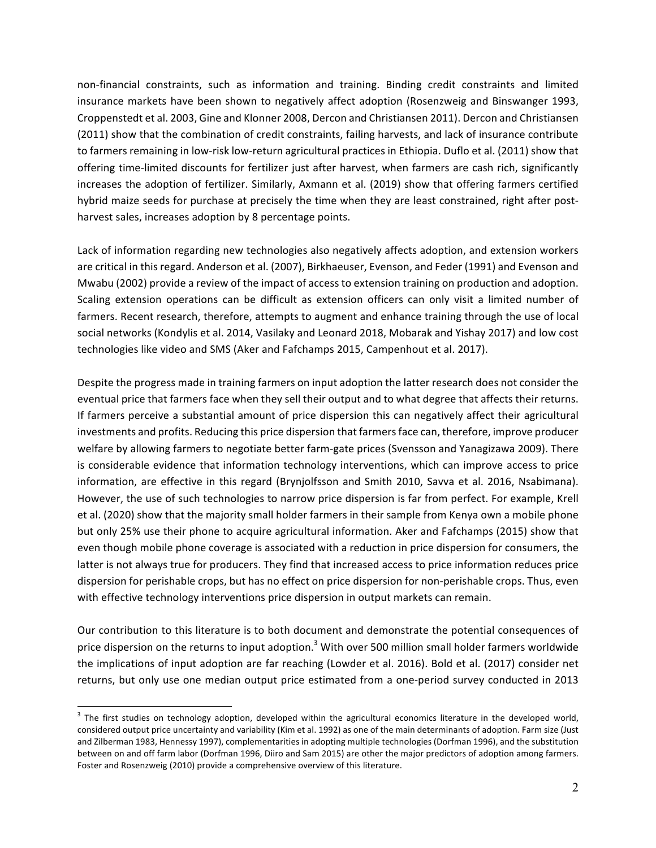non-financial constraints, such as information and training. Binding credit constraints and limited insurance markets have been shown to negatively affect adoption (Rosenzweig and Binswanger 1993, Croppenstedt et al. 2003, Gine and Klonner 2008, Dercon and Christiansen 2011). Dercon and Christiansen (2011) show that the combination of credit constraints, failing harvests, and lack of insurance contribute to farmers remaining in low-risk low-return agricultural practices in Ethiopia. Duflo et al. (2011) show that offering time-limited discounts for fertilizer just after harvest, when farmers are cash rich, significantly increases the adoption of fertilizer. Similarly, Axmann et al. (2019) show that offering farmers certified hybrid maize seeds for purchase at precisely the time when they are least constrained, right after postharvest sales, increases adoption by 8 percentage points.

Lack of information regarding new technologies also negatively affects adoption, and extension workers are critical in this regard. Anderson et al. (2007), Birkhaeuser, Evenson, and Feder (1991) and Evenson and Mwabu (2002) provide a review of the impact of access to extension training on production and adoption. Scaling extension operations can be difficult as extension officers can only visit a limited number of farmers. Recent research, therefore, attempts to augment and enhance training through the use of local social networks (Kondylis et al. 2014, Vasilaky and Leonard 2018, Mobarak and Yishay 2017) and low cost technologies like video and SMS (Aker and Fafchamps 2015, Campenhout et al. 2017).

Despite the progress made in training farmers on input adoption the latter research does not consider the eventual price that farmers face when they sell their output and to what degree that affects their returns. If farmers perceive a substantial amount of price dispersion this can negatively affect their agricultural investments and profits. Reducing this price dispersion that farmers face can, therefore, improve producer welfare by allowing farmers to negotiate better farm-gate prices (Svensson and Yanagizawa 2009). There is considerable evidence that information technology interventions, which can improve access to price information, are effective in this regard (Brynjolfsson and Smith 2010, Savva et al. 2016, Nsabimana). However, the use of such technologies to narrow price dispersion is far from perfect. For example, Krell et al. (2020) show that the majority small holder farmers in their sample from Kenya own a mobile phone but only 25% use their phone to acquire agricultural information. Aker and Fafchamps (2015) show that even though mobile phone coverage is associated with a reduction in price dispersion for consumers, the latter is not always true for producers. They find that increased access to price information reduces price dispersion for perishable crops, but has no effect on price dispersion for non-perishable crops. Thus, even with effective technology interventions price dispersion in output markets can remain.

Our contribution to this literature is to both document and demonstrate the potential consequences of price dispersion on the returns to input adoption.<sup>3</sup> With over 500 million small holder farmers worldwide the implications of input adoption are far reaching (Lowder et al. 2016). Bold et al. (2017) consider net returns, but only use one median output price estimated from a one-period survey conducted in 2013

 $3$  The first studies on technology adoption, developed within the agricultural economics literature in the developed world, considered output price uncertainty and variability (Kim et al. 1992) as one of the main determinants of adoption. Farm size (Just and Zilberman 1983, Hennessy 1997), complementarities in adopting multiple technologies (Dorfman 1996), and the substitution between on and off farm labor (Dorfman 1996, Diiro and Sam 2015) are other the major predictors of adoption among farmers. Foster and Rosenzweig (2010) provide a comprehensive overview of this literature.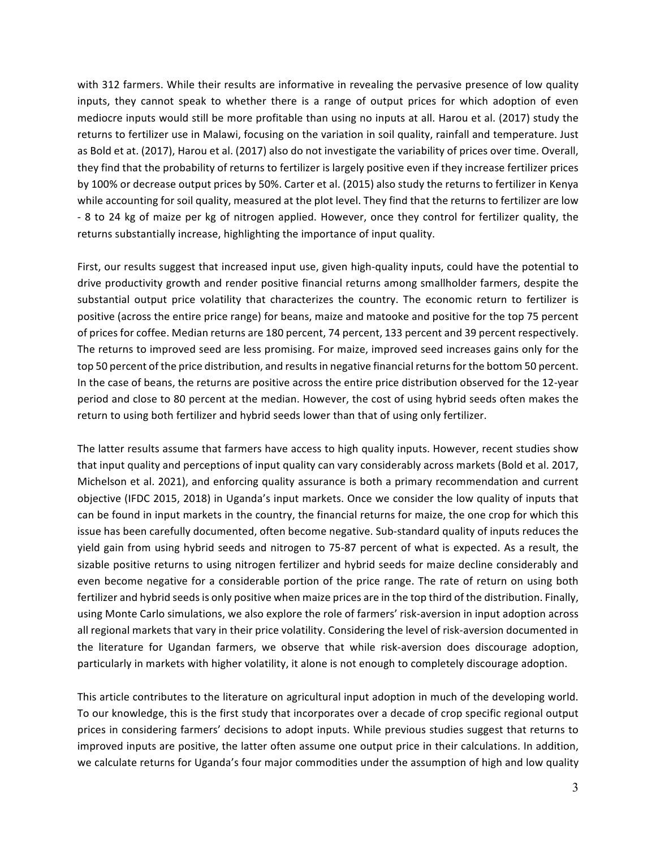with 312 farmers. While their results are informative in revealing the pervasive presence of low quality inputs, they cannot speak to whether there is a range of output prices for which adoption of even mediocre inputs would still be more profitable than using no inputs at all. Harou et al. (2017) study the returns to fertilizer use in Malawi, focusing on the variation in soil quality, rainfall and temperature. Just as Bold et at. (2017), Harou et al. (2017) also do not investigate the variability of prices over time. Overall, they find that the probability of returns to fertilizer is largely positive even if they increase fertilizer prices by 100% or decrease output prices by 50%. Carter et al. (2015) also study the returns to fertilizer in Kenya while accounting for soil quality, measured at the plot level. They find that the returns to fertilizer are low - 8 to 24 kg of maize per kg of nitrogen applied. However, once they control for fertilizer quality, the returns substantially increase, highlighting the importance of input quality.

First, our results suggest that increased input use, given high-quality inputs, could have the potential to drive productivity growth and render positive financial returns among smallholder farmers, despite the substantial output price volatility that characterizes the country. The economic return to fertilizer is positive (across the entire price range) for beans, maize and matooke and positive for the top 75 percent of prices for coffee. Median returns are 180 percent, 74 percent, 133 percent and 39 percent respectively. The returns to improved seed are less promising. For maize, improved seed increases gains only for the top 50 percent of the price distribution, and results in negative financial returns for the bottom 50 percent. In the case of beans, the returns are positive across the entire price distribution observed for the 12-year period and close to 80 percent at the median. However, the cost of using hybrid seeds often makes the return to using both fertilizer and hybrid seeds lower than that of using only fertilizer.

The latter results assume that farmers have access to high quality inputs. However, recent studies show that input quality and perceptions of input quality can vary considerably across markets (Bold et al. 2017, Michelson et al. 2021), and enforcing quality assurance is both a primary recommendation and current objective (IFDC 2015, 2018) in Uganda's input markets. Once we consider the low quality of inputs that can be found in input markets in the country, the financial returns for maize, the one crop for which this issue has been carefully documented, often become negative. Sub-standard quality of inputs reduces the yield gain from using hybrid seeds and nitrogen to 75-87 percent of what is expected. As a result, the sizable positive returns to using nitrogen fertilizer and hybrid seeds for maize decline considerably and even become negative for a considerable portion of the price range. The rate of return on using both fertilizer and hybrid seeds is only positive when maize prices are in the top third of the distribution. Finally, using Monte Carlo simulations, we also explore the role of farmers' risk-aversion in input adoption across all regional markets that vary in their price volatility. Considering the level of risk-aversion documented in the literature for Ugandan farmers, we observe that while risk-aversion does discourage adoption, particularly in markets with higher volatility, it alone is not enough to completely discourage adoption.

This article contributes to the literature on agricultural input adoption in much of the developing world. To our knowledge, this is the first study that incorporates over a decade of crop specific regional output prices in considering farmers' decisions to adopt inputs. While previous studies suggest that returns to improved inputs are positive, the latter often assume one output price in their calculations. In addition, we calculate returns for Uganda's four major commodities under the assumption of high and low quality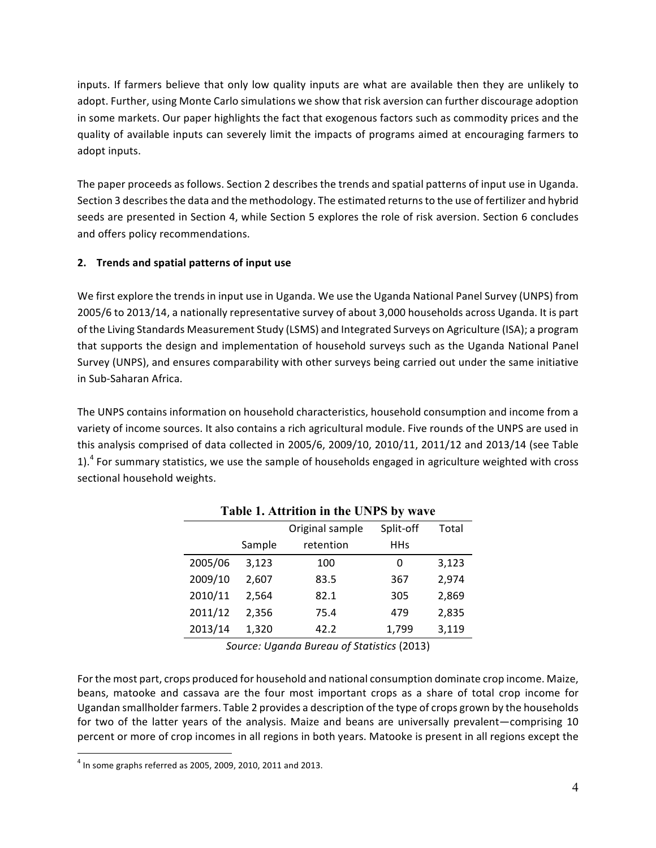inputs. If farmers believe that only low quality inputs are what are available then they are unlikely to adopt. Further, using Monte Carlo simulations we show that risk aversion can further discourage adoption in some markets. Our paper highlights the fact that exogenous factors such as commodity prices and the quality of available inputs can severely limit the impacts of programs aimed at encouraging farmers to adopt inputs.

The paper proceeds as follows. Section 2 describes the trends and spatial patterns of input use in Uganda. Section 3 describes the data and the methodology. The estimated returns to the use of fertilizer and hybrid seeds are presented in Section 4, while Section 5 explores the role of risk aversion. Section 6 concludes and offers policy recommendations.

#### **2. Trends and spatial patterns of input use**

We first explore the trends in input use in Uganda. We use the Uganda National Panel Survey (UNPS) from 2005/6 to 2013/14, a nationally representative survey of about 3,000 households across Uganda. It is part of the Living Standards Measurement Study (LSMS) and Integrated Surveys on Agriculture (ISA); a program that supports the design and implementation of household surveys such as the Uganda National Panel Survey (UNPS), and ensures comparability with other surveys being carried out under the same initiative in Sub-Saharan Africa.

The UNPS contains information on household characteristics, household consumption and income from a variety of income sources. It also contains a rich agricultural module. Five rounds of the UNPS are used in this analysis comprised of data collected in 2005/6, 2009/10, 2010/11, 2011/12 and 2013/14 (see Table 1).<sup>4</sup> For summary statistics, we use the sample of households engaged in agriculture weighted with cross sectional household weights.

| Table 1. Attrition in the UNPS by wave |        |                 |            |       |  |  |  |
|----------------------------------------|--------|-----------------|------------|-------|--|--|--|
|                                        |        | Original sample | Split-off  | Total |  |  |  |
|                                        | Sample | retention       | <b>HHs</b> |       |  |  |  |
| 2005/06                                | 3,123  | 100             | 0          | 3,123 |  |  |  |
| 2009/10                                | 2,607  | 83.5            | 367        | 2,974 |  |  |  |
| 2010/11                                | 2,564  | 82.1            | 305        | 2,869 |  |  |  |
| 2011/12                                | 2,356  | 75.4            | 479        | 2,835 |  |  |  |
| 2013/14                                | 1,320  | 42.2            | 1,799      | 3,119 |  |  |  |

*Source: Uganda Bureau of Statistics* (2013)

For the most part, crops produced for household and national consumption dominate crop income. Maize, beans, matooke and cassava are the four most important crops as a share of total crop income for Ugandan smallholder farmers. Table 2 provides a description of the type of crops grown by the households for two of the latter years of the analysis. Maize and beans are universally prevalent—comprising 10 percent or more of crop incomes in all regions in both years. Matooke is present in all regions except the

 $^{4}$  In some graphs referred as 2005, 2009, 2010, 2011 and 2013.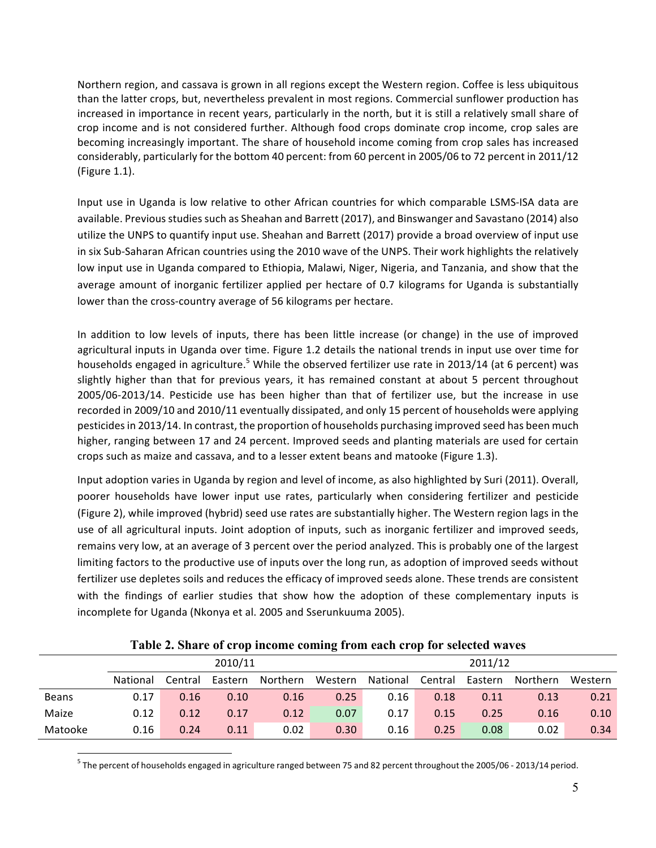Northern region, and cassava is grown in all regions except the Western region. Coffee is less ubiquitous than the latter crops, but, nevertheless prevalent in most regions. Commercial sunflower production has increased in importance in recent years, particularly in the north, but it is still a relatively small share of crop income and is not considered further. Although food crops dominate crop income, crop sales are becoming increasingly important. The share of household income coming from crop sales has increased considerably, particularly for the bottom 40 percent: from 60 percent in 2005/06 to 72 percent in 2011/12 (Figure  $1.1$ ).

Input use in Uganda is low relative to other African countries for which comparable LSMS-ISA data are available. Previous studies such as Sheahan and Barrett (2017), and Binswanger and Savastano (2014) also utilize the UNPS to quantify input use. Sheahan and Barrett (2017) provide a broad overview of input use in six Sub-Saharan African countries using the 2010 wave of the UNPS. Their work highlights the relatively low input use in Uganda compared to Ethiopia, Malawi, Niger, Nigeria, and Tanzania, and show that the average amount of inorganic fertilizer applied per hectare of 0.7 kilograms for Uganda is substantially lower than the cross-country average of 56 kilograms per hectare.

In addition to low levels of inputs, there has been little increase (or change) in the use of improved agricultural inputs in Uganda over time. Figure 1.2 details the national trends in input use over time for households engaged in agriculture.<sup>5</sup> While the observed fertilizer use rate in 2013/14 (at 6 percent) was slightly higher than that for previous years, it has remained constant at about 5 percent throughout 2005/06-2013/14. Pesticide use has been higher than that of fertilizer use, but the increase in use recorded in 2009/10 and 2010/11 eventually dissipated, and only 15 percent of households were applying pesticides in 2013/14. In contrast, the proportion of households purchasing improved seed has been much higher, ranging between 17 and 24 percent. Improved seeds and planting materials are used for certain crops such as maize and cassava, and to a lesser extent beans and matooke (Figure 1.3).

Input adoption varies in Uganda by region and level of income, as also highlighted by Suri (2011). Overall, poorer households have lower input use rates, particularly when considering fertilizer and pesticide (Figure 2), while improved (hybrid) seed use rates are substantially higher. The Western region lags in the use of all agricultural inputs. Joint adoption of inputs, such as inorganic fertilizer and improved seeds, remains very low, at an average of 3 percent over the period analyzed. This is probably one of the largest limiting factors to the productive use of inputs over the long run, as adoption of improved seeds without fertilizer use depletes soils and reduces the efficacy of improved seeds alone. These trends are consistent with the findings of earlier studies that show how the adoption of these complementary inputs is incomplete for Uganda (Nkonya et al. 2005 and Sserunkuuma 2005).

|              |          |         |         |          | -       |          |         |         |          |         |
|--------------|----------|---------|---------|----------|---------|----------|---------|---------|----------|---------|
|              | 2010/11  |         |         |          |         |          |         | 2011/12 |          |         |
|              | National | Central | Eastern | Northern | Western | National | Central | Eastern | Northern | Western |
| <b>Beans</b> | 0.17     | 0.16    | 0.10    | 0.16     | 0.25    | 0.16     | 0.18    | 0.11    | 0.13     | 0.21    |
| Maize        | 0.12     | 0.12    | 0.17    | 0.12     | 0.07    | 0.17     | 0.15    | 0.25    | 0.16     | 0.10    |
| Matooke      | 0.16     | 0.24    | 0.11    | 0.02     | 0.30    | 0.16     | 0.25    | 0.08    | 0.02     | 0.34    |

**Table 2. Share of crop income coming from each crop for selected waves**

 $^5$  The percent of households engaged in agriculture ranged between 75 and 82 percent throughout the 2005/06 - 2013/14 period.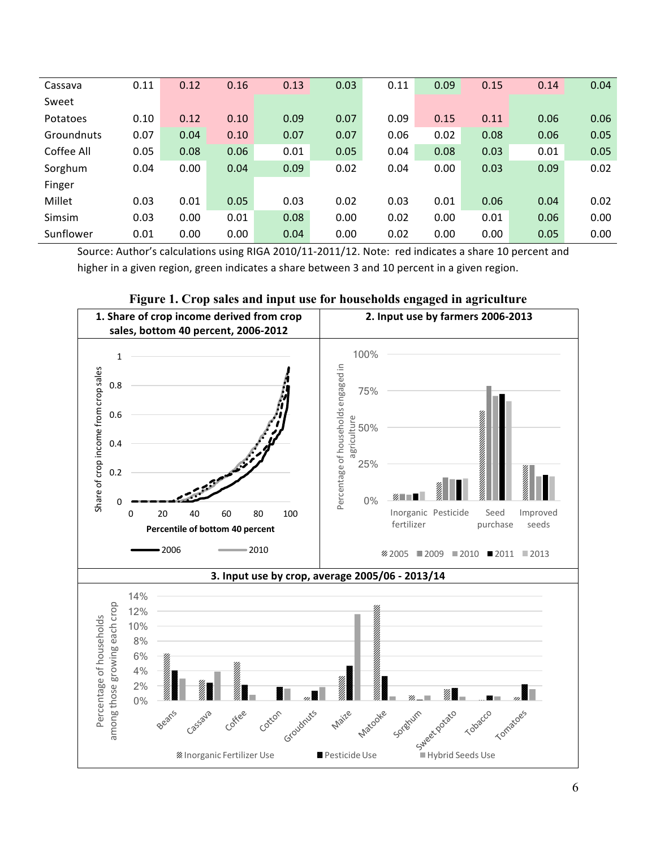| Cassava    | 0.11 | 0.12 | 0.16 | 0.13 | 0.03 | 0.11 | 0.09 | 0.15 | 0.14 | 0.04 |
|------------|------|------|------|------|------|------|------|------|------|------|
| Sweet      |      |      |      |      |      |      |      |      |      |      |
| Potatoes   | 0.10 | 0.12 | 0.10 | 0.09 | 0.07 | 0.09 | 0.15 | 0.11 | 0.06 | 0.06 |
| Groundnuts | 0.07 | 0.04 | 0.10 | 0.07 | 0.07 | 0.06 | 0.02 | 0.08 | 0.06 | 0.05 |
| Coffee All | 0.05 | 0.08 | 0.06 | 0.01 | 0.05 | 0.04 | 0.08 | 0.03 | 0.01 | 0.05 |
| Sorghum    | 0.04 | 0.00 | 0.04 | 0.09 | 0.02 | 0.04 | 0.00 | 0.03 | 0.09 | 0.02 |
| Finger     |      |      |      |      |      |      |      |      |      |      |
| Millet     | 0.03 | 0.01 | 0.05 | 0.03 | 0.02 | 0.03 | 0.01 | 0.06 | 0.04 | 0.02 |
| Simsim     | 0.03 | 0.00 | 0.01 | 0.08 | 0.00 | 0.02 | 0.00 | 0.01 | 0.06 | 0.00 |
| Sunflower  | 0.01 | 0.00 | 0.00 | 0.04 | 0.00 | 0.02 | 0.00 | 0.00 | 0.05 | 0.00 |

Source: Author's calculations using RIGA 2010/11-2011/12. Note: red indicates a share 10 percent and higher in a given region, green indicates a share between 3 and 10 percent in a given region.



#### **Figure 1. Crop sales and input use for households engaged in agriculture**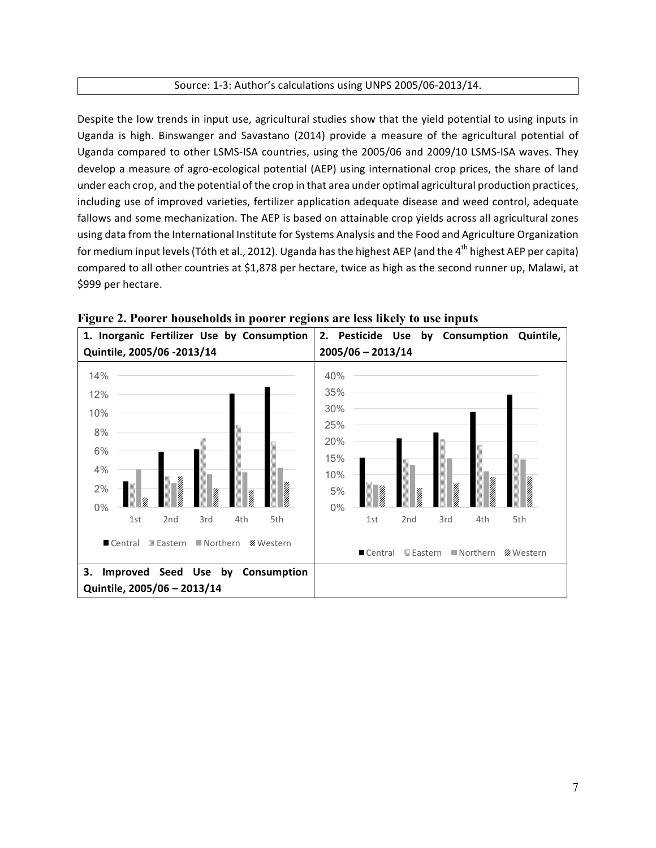#### Source: 1-3: Author's calculations using UNPS 2005/06-2013/14.

Despite the low trends in input use, agricultural studies show that the yield potential to using inputs in Uganda is high. Binswanger and Savastano (2014) provide a measure of the agricultural potential of Uganda compared to other LSMS-ISA countries, using the 2005/06 and 2009/10 LSMS-ISA waves. They develop a measure of agro-ecological potential (AEP) using international crop prices, the share of land under each crop, and the potential of the crop in that area under optimal agricultural production practices, including use of improved varieties, fertilizer application adequate disease and weed control, adequate fallows and some mechanization. The AEP is based on attainable crop yields across all agricultural zones using data from the International Institute for Systems Analysis and the Food and Agriculture Organization for medium input levels (Tóth et al., 2012). Uganda has the highest AEP (and the 4<sup>th</sup> highest AEP per capita) compared to all other countries at \$1,878 per hectare, twice as high as the second runner up, Malawi, at \$999 per hectare.



**Figure 2. Poorer households in poorer regions are less likely to use inputs**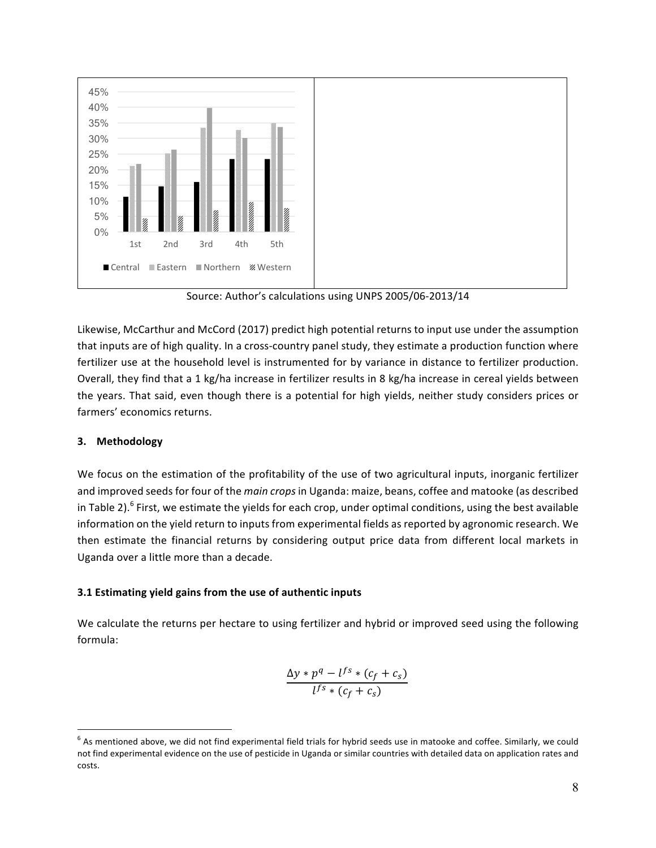

Source: Author's calculations using UNPS 2005/06-2013/14

Likewise, McCarthur and McCord (2017) predict high potential returns to input use under the assumption that inputs are of high quality. In a cross-country panel study, they estimate a production function where fertilizer use at the household level is instrumented for by variance in distance to fertilizer production. Overall, they find that a 1 kg/ha increase in fertilizer results in 8 kg/ha increase in cereal yields between the years. That said, even though there is a potential for high yields, neither study considers prices or farmers' economics returns.

#### **3. Methodology**

We focus on the estimation of the profitability of the use of two agricultural inputs, inorganic fertilizer and improved seeds for four of the *main crops* in Uganda: maize, beans, coffee and matooke (as described in Table 2).<sup>6</sup> First, we estimate the yields for each crop, under optimal conditions, using the best available information on the yield return to inputs from experimental fields as reported by agronomic research. We then estimate the financial returns by considering output price data from different local markets in Uganda over a little more than a decade.

#### **3.1 Estimating yield gains from the use of authentic inputs**

We calculate the returns per hectare to using fertilizer and hybrid or improved seed using the following formula:

$$
\frac{\Delta y * p^q - l^{fs} * (c_f + c_s)}{l^{fs} * (c_f + c_s)}
$$

 $6$  As mentioned above, we did not find experimental field trials for hybrid seeds use in matooke and coffee. Similarly, we could not find experimental evidence on the use of pesticide in Uganda or similar countries with detailed data on application rates and costs.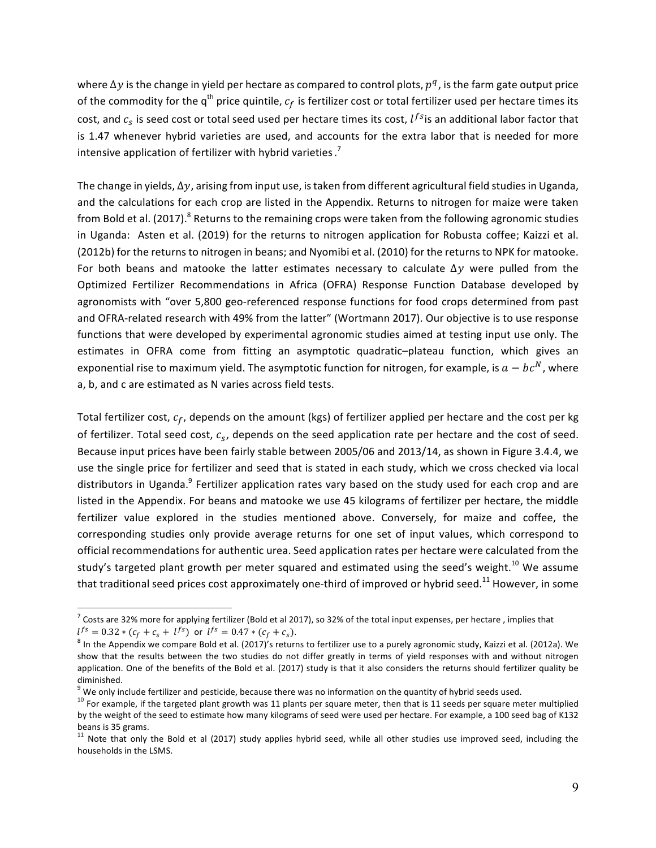where  $\Delta y$  is the change in yield per hectare as compared to control plots,  $p^q$ , is the farm gate output price of the commodity for the  $q^{th}$  price quintile,  $c_f$  is fertilizer cost or total fertilizer used per hectare times its cost, and  $c_s$  is seed cost or total seed used per hectare times its cost,  $l^{fs}$  is an additional labor factor that is 1.47 whenever hybrid varieties are used, and accounts for the extra labor that is needed for more intensive application of fertilizer with hybrid varieties.<sup>7</sup>

The change in yields,  $\Delta y$ , arising from input use, is taken from different agricultural field studies in Uganda, and the calculations for each crop are listed in the Appendix. Returns to nitrogen for maize were taken from Bold et al. (2017).<sup>8</sup> Returns to the remaining crops were taken from the following agronomic studies in Uganda: Asten et al. (2019) for the returns to nitrogen application for Robusta coffee; Kaizzi et al. (2012b) for the returns to nitrogen in beans; and Nyomibi et al. (2010) for the returns to NPK for matooke. For both beans and matooke the latter estimates necessary to calculate  $\Delta y$  were pulled from the Optimized Fertilizer Recommendations in Africa (OFRA) Response Function Database developed by agronomists with "over 5,800 geo-referenced response functions for food crops determined from past and OFRA-related research with 49% from the latter" (Wortmann 2017). Our objective is to use response functions that were developed by experimental agronomic studies aimed at testing input use only. The estimates in OFRA come from fitting an asymptotic quadratic-plateau function, which gives an exponential rise to maximum yield. The asymptotic function for nitrogen, for example, is  $a - bc^N$ , where a, b, and c are estimated as N varies across field tests.

Total fertilizer cost,  $c_f$ , depends on the amount (kgs) of fertilizer applied per hectare and the cost per kg of fertilizer. Total seed cost,  $c_s$ , depends on the seed application rate per hectare and the cost of seed. Because input prices have been fairly stable between 2005/06 and 2013/14, as shown in Figure 3.4.4, we use the single price for fertilizer and seed that is stated in each study, which we cross checked via local distributors in Uganda.<sup>9</sup> Fertilizer application rates vary based on the study used for each crop and are listed in the Appendix. For beans and matooke we use 45 kilograms of fertilizer per hectare, the middle fertilizer value explored in the studies mentioned above. Conversely, for maize and coffee, the corresponding studies only provide average returns for one set of input values, which correspond to official recommendations for authentic urea. Seed application rates per hectare were calculated from the study's targeted plant growth per meter squared and estimated using the seed's weight.<sup>10</sup> We assume that traditional seed prices cost approximately one-third of improved or hybrid seed.<sup>11</sup> However, in some

 $^7$  Costs are 32% more for applying fertilizer (Bold et al 2017), so 32% of the total input expenses, per hectare, implies that  $l^{fs} = 0.32 * (c_f + c_s + l^{fs})$  or  $l^{fs} = 0.47 * (c_f + c_s)$ .<br><sup>8</sup> In the Appendix we compare Bold et al. (2017)'s returns to fertilizer use to a purely agronomic study, Kaizzi et al. (2012a). We

show that the results between the two studies do not differ greatly in terms of yield responses with and without nitrogen application. One of the benefits of the Bold et al. (2017) study is that it also considers the returns should fertilizer quality be diminished.<br><sup>9</sup> We only include fertilizer and pesticide, because there was no information on the quantity of hybrid seeds used.

 $10$  For example, if the targeted plant growth was 11 plants per square meter, then that is 11 seeds per square meter multiplied by the weight of the seed to estimate how many kilograms of seed were used per hectare. For example, a 100 seed bag of K132 beans is 35 grams.

 $11$  Note that only the Bold et al (2017) study applies hybrid seed, while all other studies use improved seed, including the households in the LSMS.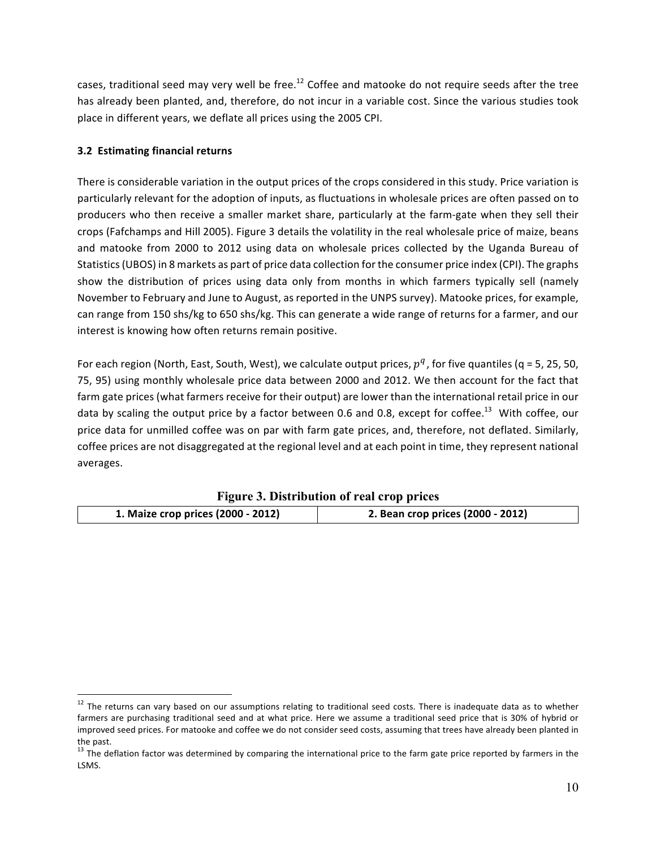cases, traditional seed may very well be free.<sup>12</sup> Coffee and matooke do not require seeds after the tree has already been planted, and, therefore, do not incur in a variable cost. Since the various studies took place in different years, we deflate all prices using the 2005 CPI.

#### **3.2 Estimating financial returns**

There is considerable variation in the output prices of the crops considered in this study. Price variation is particularly relevant for the adoption of inputs, as fluctuations in wholesale prices are often passed on to producers who then receive a smaller market share, particularly at the farm-gate when they sell their crops (Fafchamps and Hill 2005). Figure 3 details the volatility in the real wholesale price of maize, beans and matooke from 2000 to 2012 using data on wholesale prices collected by the Uganda Bureau of Statistics (UBOS) in 8 markets as part of price data collection for the consumer price index (CPI). The graphs show the distribution of prices using data only from months in which farmers typically sell (namely November to February and June to August, as reported in the UNPS survey). Matooke prices, for example, can range from 150 shs/kg to 650 shs/kg. This can generate a wide range of returns for a farmer, and our interest is knowing how often returns remain positive.

For each region (North, East, South, West), we calculate output prices,  $p^q$ , for five quantiles (q = 5, 25, 50, 75, 95) using monthly wholesale price data between 2000 and 2012. We then account for the fact that farm gate prices (what farmers receive for their output) are lower than the international retail price in our data by scaling the output price by a factor between 0.6 and 0.8, except for coffee.<sup>13</sup> With coffee. our price data for unmilled coffee was on par with farm gate prices, and, therefore, not deflated. Similarly, coffee prices are not disaggregated at the regional level and at each point in time, they represent national averages. 

| rigure 3. Distribution of real crop prices |                                   |  |  |  |  |
|--------------------------------------------|-----------------------------------|--|--|--|--|
| 1. Maize crop prices (2000 - 2012)         | 2. Bean crop prices (2000 - 2012) |  |  |  |  |

 $12$  The returns can vary based on our assumptions relating to traditional seed costs. There is inadequate data as to whether farmers are purchasing traditional seed and at what price. Here we assume a traditional seed price that is 30% of hybrid or improved seed prices. For matooke and coffee we do not consider seed costs, assuming that trees have already been planted in the past.

 $13$  The deflation factor was determined by comparing the international price to the farm gate price reported by farmers in the LSMS.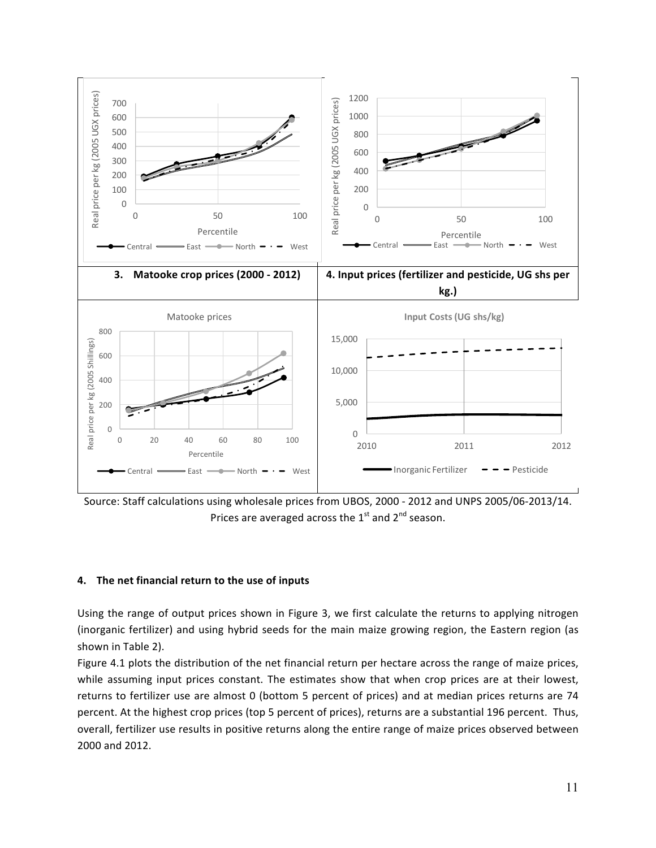

Source: Staff calculations using wholesale prices from UBOS, 2000 - 2012 and UNPS 2005/06-2013/14. Prices are averaged across the  $1<sup>st</sup>$  and  $2<sup>nd</sup>$  season.

#### **4. The net financial return to the use of inputs**

Using the range of output prices shown in Figure 3, we first calculate the returns to applying nitrogen (inorganic fertilizer) and using hybrid seeds for the main maize growing region, the Eastern region (as shown in Table 2).

Figure 4.1 plots the distribution of the net financial return per hectare across the range of maize prices, while assuming input prices constant. The estimates show that when crop prices are at their lowest, returns to fertilizer use are almost 0 (bottom 5 percent of prices) and at median prices returns are 74 percent. At the highest crop prices (top 5 percent of prices), returns are a substantial 196 percent. Thus, overall, fertilizer use results in positive returns along the entire range of maize prices observed between 2000 and 2012.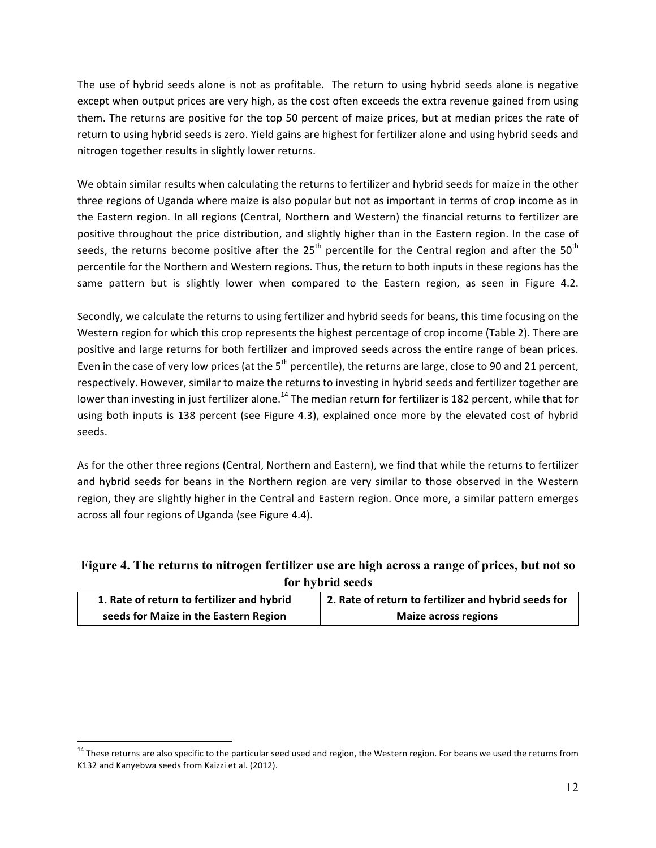The use of hybrid seeds alone is not as profitable. The return to using hybrid seeds alone is negative except when output prices are very high, as the cost often exceeds the extra revenue gained from using them. The returns are positive for the top 50 percent of maize prices, but at median prices the rate of return to using hybrid seeds is zero. Yield gains are highest for fertilizer alone and using hybrid seeds and nitrogen together results in slightly lower returns.

We obtain similar results when calculating the returns to fertilizer and hybrid seeds for maize in the other three regions of Uganda where maize is also popular but not as important in terms of crop income as in the Eastern region. In all regions (Central, Northern and Western) the financial returns to fertilizer are positive throughout the price distribution, and slightly higher than in the Eastern region. In the case of seeds, the returns become positive after the  $25<sup>th</sup>$  percentile for the Central region and after the  $50<sup>th</sup>$ percentile for the Northern and Western regions. Thus, the return to both inputs in these regions has the same pattern but is slightly lower when compared to the Eastern region, as seen in Figure 4.2.

Secondly, we calculate the returns to using fertilizer and hybrid seeds for beans, this time focusing on the Western region for which this crop represents the highest percentage of crop income (Table 2). There are positive and large returns for both fertilizer and improved seeds across the entire range of bean prices. Even in the case of very low prices (at the  $5<sup>th</sup>$  percentile), the returns are large, close to 90 and 21 percent, respectively. However, similar to maize the returns to investing in hybrid seeds and fertilizer together are lower than investing in just fertilizer alone.<sup>14</sup> The median return for fertilizer is 182 percent, while that for using both inputs is 138 percent (see Figure 4.3), explained once more by the elevated cost of hybrid seeds. 

As for the other three regions (Central, Northern and Eastern), we find that while the returns to fertilizer and hybrid seeds for beans in the Northern region are very similar to those observed in the Western region, they are slightly higher in the Central and Eastern region. Once more, a similar pattern emerges across all four regions of Uganda (see Figure 4.4).

## **Figure 4. The returns to nitrogen fertilizer use are high across a range of prices, but not so for hybrid seeds**

| 1. Rate of return to fertilizer and hybrid | 2. Rate of return to fertilizer and hybrid seeds for |
|--------------------------------------------|------------------------------------------------------|
| seeds for Maize in the Eastern Region      | <b>Maize across regions</b>                          |

 $14$  These returns are also specific to the particular seed used and region, the Western region. For beans we used the returns from K132 and Kanyebwa seeds from Kaizzi et al. (2012).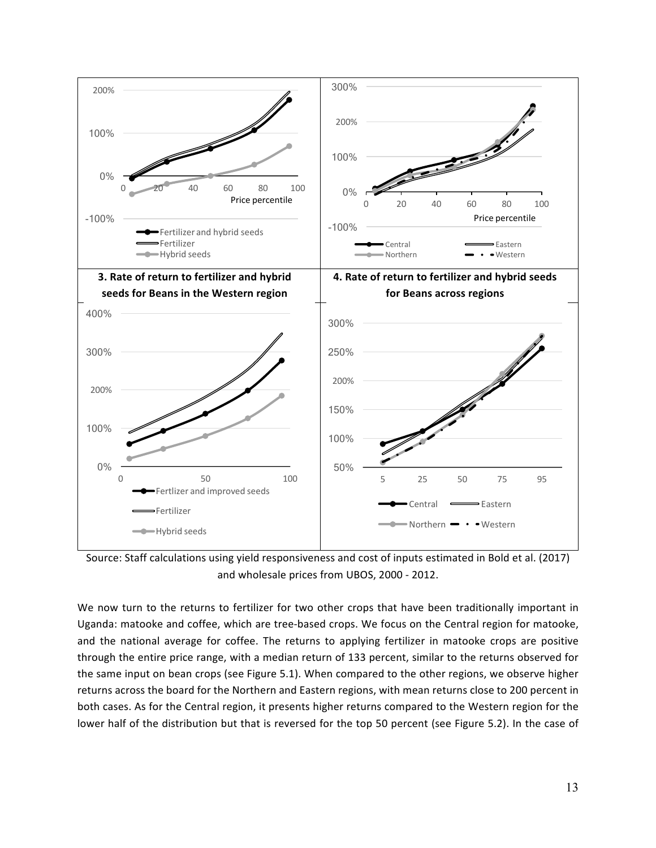

Source: Staff calculations using yield responsiveness and cost of inputs estimated in Bold et al. (2017) and wholesale prices from UBOS, 2000 - 2012.

We now turn to the returns to fertilizer for two other crops that have been traditionally important in Uganda: matooke and coffee, which are tree-based crops. We focus on the Central region for matooke, and the national average for coffee. The returns to applying fertilizer in matooke crops are positive through the entire price range, with a median return of 133 percent, similar to the returns observed for the same input on bean crops (see Figure 5.1). When compared to the other regions, we observe higher returns across the board for the Northern and Eastern regions, with mean returns close to 200 percent in both cases. As for the Central region, it presents higher returns compared to the Western region for the lower half of the distribution but that is reversed for the top 50 percent (see Figure 5.2). In the case of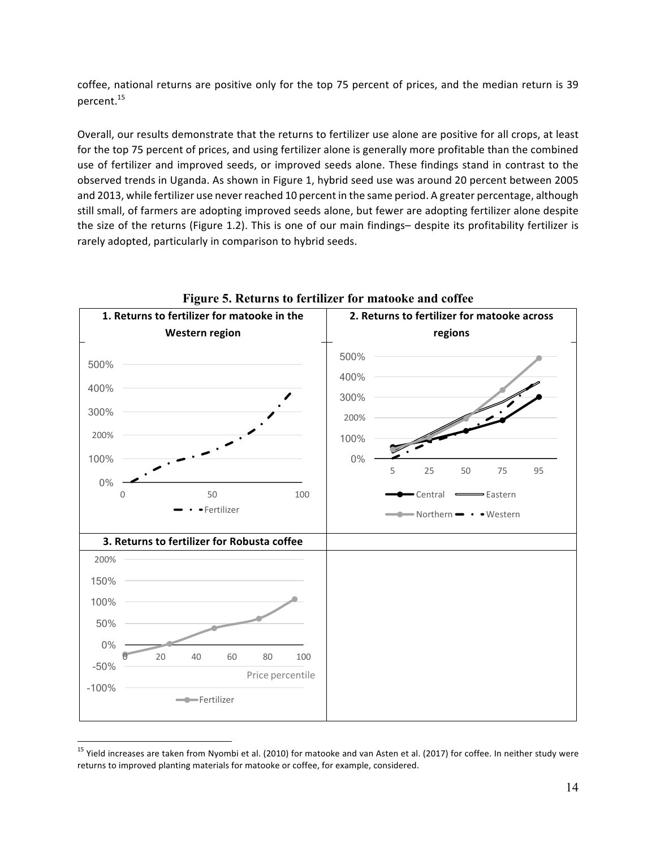coffee, national returns are positive only for the top 75 percent of prices, and the median return is 39 percent. 15

Overall, our results demonstrate that the returns to fertilizer use alone are positive for all crops, at least for the top 75 percent of prices, and using fertilizer alone is generally more profitable than the combined use of fertilizer and improved seeds, or improved seeds alone. These findings stand in contrast to the observed trends in Uganda. As shown in Figure 1, hybrid seed use was around 20 percent between 2005 and 2013, while fertilizer use never reached 10 percent in the same period. A greater percentage, although still small, of farmers are adopting improved seeds alone, but fewer are adopting fertilizer alone despite the size of the returns (Figure 1.2). This is one of our main findings- despite its profitability fertilizer is rarely adopted, particularly in comparison to hybrid seeds.



**Figure 5. Returns to fertilizer for matooke and coffee**

 $15$  Yield increases are taken from Nyombi et al. (2010) for matooke and van Asten et al. (2017) for coffee. In neither study were returns to improved planting materials for matooke or coffee, for example, considered.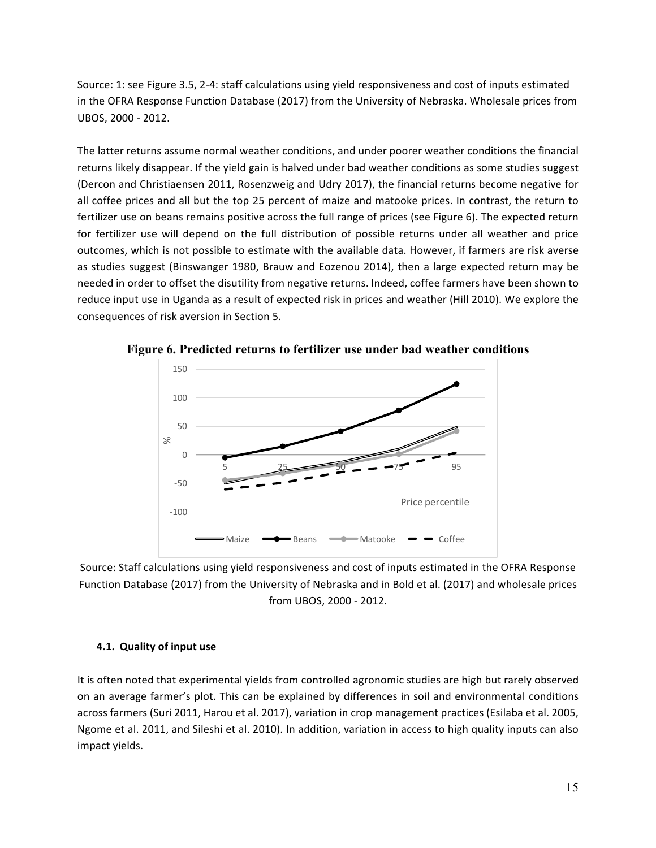Source: 1: see Figure 3.5, 2-4: staff calculations using yield responsiveness and cost of inputs estimated in the OFRA Response Function Database (2017) from the University of Nebraska. Wholesale prices from UBOS, 2000 - 2012.

The latter returns assume normal weather conditions, and under poorer weather conditions the financial returns likely disappear. If the yield gain is halved under bad weather conditions as some studies suggest (Dercon and Christiaensen 2011, Rosenzweig and Udry 2017), the financial returns become negative for all coffee prices and all but the top 25 percent of maize and matooke prices. In contrast, the return to fertilizer use on beans remains positive across the full range of prices (see Figure 6). The expected return for fertilizer use will depend on the full distribution of possible returns under all weather and price outcomes, which is not possible to estimate with the available data. However, if farmers are risk averse as studies suggest (Binswanger 1980, Brauw and Eozenou 2014), then a large expected return may be needed in order to offset the disutility from negative returns. Indeed, coffee farmers have been shown to reduce input use in Uganda as a result of expected risk in prices and weather (Hill 2010). We explore the consequences of risk aversion in Section 5.



**Figure 6. Predicted returns to fertilizer use under bad weather conditions**

Source: Staff calculations using yield responsiveness and cost of inputs estimated in the OFRA Response Function Database (2017) from the University of Nebraska and in Bold et al. (2017) and wholesale prices from UBOS, 2000 - 2012.

#### **4.1. Quality of input use**

It is often noted that experimental yields from controlled agronomic studies are high but rarely observed on an average farmer's plot. This can be explained by differences in soil and environmental conditions across farmers (Suri 2011, Harou et al. 2017), variation in crop management practices (Esilaba et al. 2005, Ngome et al. 2011, and Sileshi et al. 2010). In addition, variation in access to high quality inputs can also impact yields.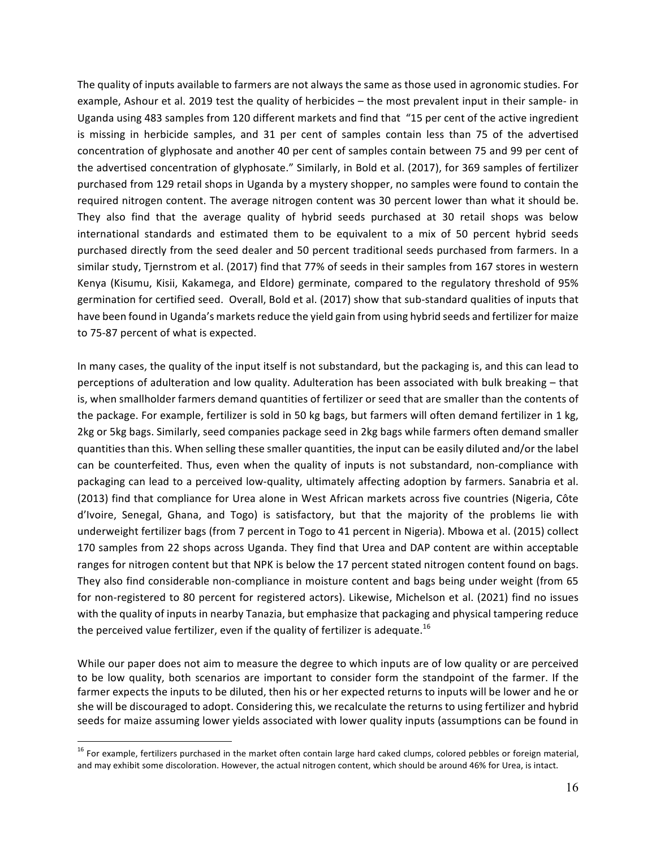The quality of inputs available to farmers are not always the same as those used in agronomic studies. For example, Ashour et al. 2019 test the quality of herbicides – the most prevalent input in their sample- in Uganda using 483 samples from 120 different markets and find that "15 per cent of the active ingredient is missing in herbicide samples, and 31 per cent of samples contain less than 75 of the advertised concentration of glyphosate and another 40 per cent of samples contain between 75 and 99 per cent of the advertised concentration of glyphosate." Similarly, in Bold et al. (2017), for 369 samples of fertilizer purchased from 129 retail shops in Uganda by a mystery shopper, no samples were found to contain the required nitrogen content. The average nitrogen content was 30 percent lower than what it should be. They also find that the average quality of hybrid seeds purchased at 30 retail shops was below international standards and estimated them to be equivalent to a mix of 50 percent hybrid seeds purchased directly from the seed dealer and 50 percent traditional seeds purchased from farmers. In a similar study, Tjernstrom et al. (2017) find that 77% of seeds in their samples from 167 stores in western Kenya (Kisumu, Kisii, Kakamega, and Eldore) germinate, compared to the regulatory threshold of 95% germination for certified seed. Overall, Bold et al. (2017) show that sub-standard qualities of inputs that have been found in Uganda's markets reduce the yield gain from using hybrid seeds and fertilizer for maize to 75-87 percent of what is expected.

In many cases, the quality of the input itself is not substandard, but the packaging is, and this can lead to perceptions of adulteration and low quality. Adulteration has been associated with bulk breaking - that is, when smallholder farmers demand quantities of fertilizer or seed that are smaller than the contents of the package. For example, fertilizer is sold in 50 kg bags, but farmers will often demand fertilizer in 1 kg, 2kg or 5kg bags. Similarly, seed companies package seed in 2kg bags while farmers often demand smaller quantities than this. When selling these smaller quantities, the input can be easily diluted and/or the label can be counterfeited. Thus, even when the quality of inputs is not substandard, non-compliance with packaging can lead to a perceived low-quality, ultimately affecting adoption by farmers. Sanabria et al. (2013) find that compliance for Urea alone in West African markets across five countries (Nigeria, Côte d'Ivoire, Senegal, Ghana, and Togo) is satisfactory, but that the majority of the problems lie with underweight fertilizer bags (from 7 percent in Togo to 41 percent in Nigeria). Mbowa et al. (2015) collect 170 samples from 22 shops across Uganda. They find that Urea and DAP content are within acceptable ranges for nitrogen content but that NPK is below the 17 percent stated nitrogen content found on bags. They also find considerable non-compliance in moisture content and bags being under weight (from 65 for non-registered to 80 percent for registered actors). Likewise, Michelson et al. (2021) find no issues with the quality of inputs in nearby Tanazia, but emphasize that packaging and physical tampering reduce the perceived value fertilizer, even if the quality of fertilizer is adequate.<sup>16</sup>

While our paper does not aim to measure the degree to which inputs are of low quality or are perceived to be low quality, both scenarios are important to consider form the standpoint of the farmer. If the farmer expects the inputs to be diluted, then his or her expected returns to inputs will be lower and he or she will be discouraged to adopt. Considering this, we recalculate the returns to using fertilizer and hybrid seeds for maize assuming lower yields associated with lower quality inputs (assumptions can be found in

 $16$  For example, fertilizers purchased in the market often contain large hard caked clumps, colored pebbles or foreign material, and may exhibit some discoloration. However, the actual nitrogen content, which should be around 46% for Urea, is intact.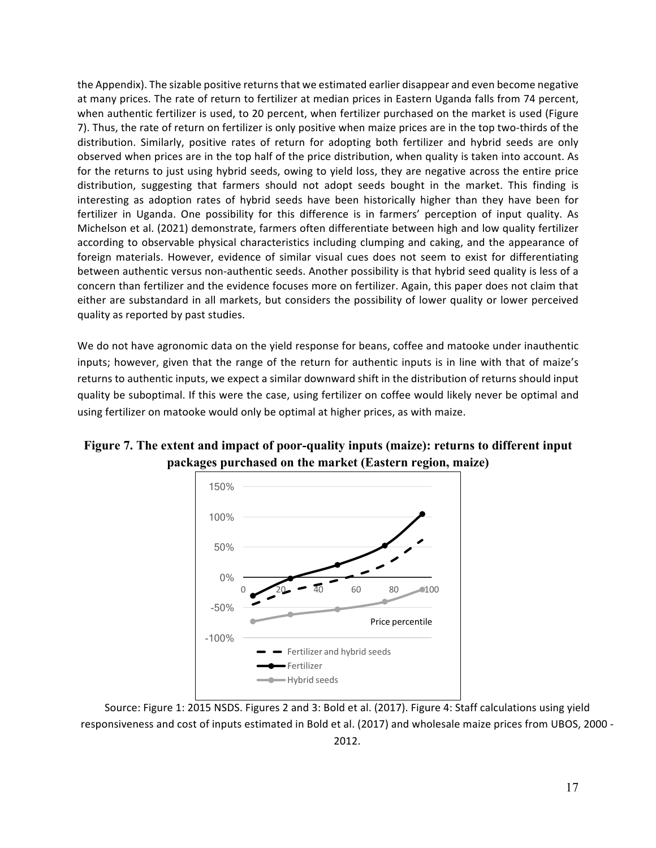the Appendix). The sizable positive returns that we estimated earlier disappear and even become negative at many prices. The rate of return to fertilizer at median prices in Eastern Uganda falls from 74 percent, when authentic fertilizer is used, to 20 percent, when fertilizer purchased on the market is used (Figure 7). Thus, the rate of return on fertilizer is only positive when maize prices are in the top two-thirds of the distribution. Similarly, positive rates of return for adopting both fertilizer and hybrid seeds are only observed when prices are in the top half of the price distribution, when quality is taken into account. As for the returns to just using hybrid seeds, owing to yield loss, they are negative across the entire price distribution, suggesting that farmers should not adopt seeds bought in the market. This finding is interesting as adoption rates of hybrid seeds have been historically higher than they have been for fertilizer in Uganda. One possibility for this difference is in farmers' perception of input quality. As Michelson et al. (2021) demonstrate, farmers often differentiate between high and low quality fertilizer according to observable physical characteristics including clumping and caking, and the appearance of foreign materials. However, evidence of similar visual cues does not seem to exist for differentiating between authentic versus non-authentic seeds. Another possibility is that hybrid seed quality is less of a concern than fertilizer and the evidence focuses more on fertilizer. Again, this paper does not claim that either are substandard in all markets, but considers the possibility of lower quality or lower perceived quality as reported by past studies.

We do not have agronomic data on the yield response for beans, coffee and matooke under inauthentic inputs; however, given that the range of the return for authentic inputs is in line with that of maize's returns to authentic inputs, we expect a similar downward shift in the distribution of returns should input quality be suboptimal. If this were the case, using fertilizer on coffee would likely never be optimal and using fertilizer on matooke would only be optimal at higher prices, as with maize.



**Figure 7. The extent and impact of poor-quality inputs (maize): returns to different input packages purchased on the market (Eastern region, maize)**

Source: Figure 1: 2015 NSDS. Figures 2 and 3: Bold et al. (2017). Figure 4: Staff calculations using yield responsiveness and cost of inputs estimated in Bold et al. (2017) and wholesale maize prices from UBOS, 2000 -2012.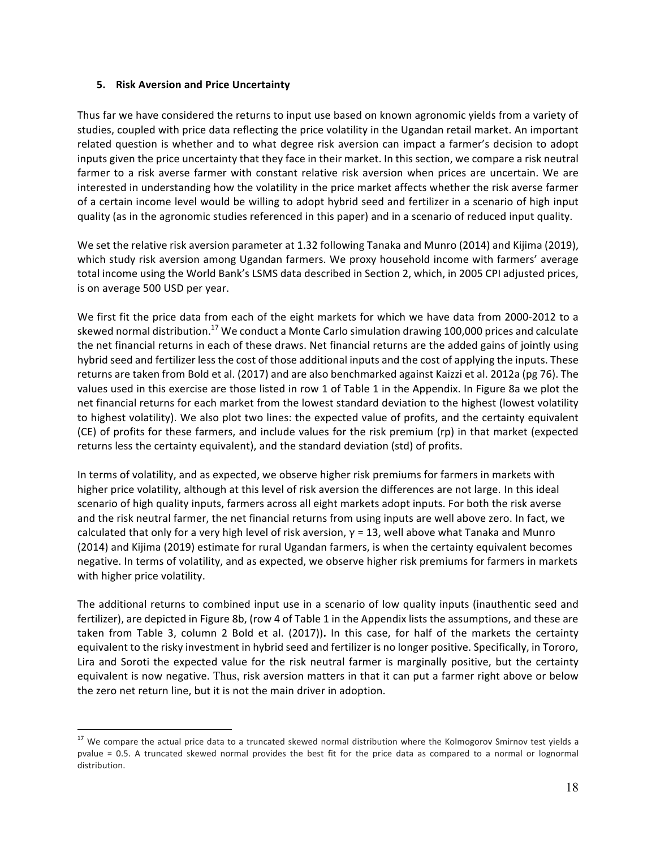#### **5. Risk Aversion and Price Uncertainty**

Thus far we have considered the returns to input use based on known agronomic yields from a variety of studies, coupled with price data reflecting the price volatility in the Ugandan retail market. An important related question is whether and to what degree risk aversion can impact a farmer's decision to adopt inputs given the price uncertainty that they face in their market. In this section, we compare a risk neutral farmer to a risk averse farmer with constant relative risk aversion when prices are uncertain. We are interested in understanding how the volatility in the price market affects whether the risk averse farmer of a certain income level would be willing to adopt hybrid seed and fertilizer in a scenario of high input quality (as in the agronomic studies referenced in this paper) and in a scenario of reduced input quality.

We set the relative risk aversion parameter at 1.32 following Tanaka and Munro (2014) and Kijima (2019), which study risk aversion among Ugandan farmers. We proxy household income with farmers' average total income using the World Bank's LSMS data described in Section 2, which, in 2005 CPI adjusted prices, is on average 500 USD per year.

We first fit the price data from each of the eight markets for which we have data from 2000-2012 to a skewed normal distribution.<sup>17</sup> We conduct a Monte Carlo simulation drawing 100,000 prices and calculate the net financial returns in each of these draws. Net financial returns are the added gains of jointly using hybrid seed and fertilizer less the cost of those additional inputs and the cost of applying the inputs. These returns are taken from Bold et al. (2017) and are also benchmarked against Kaizzi et al. 2012a (pg 76). The values used in this exercise are those listed in row 1 of Table 1 in the Appendix. In Figure 8a we plot the net financial returns for each market from the lowest standard deviation to the highest (lowest volatility to highest volatility). We also plot two lines: the expected value of profits, and the certainty equivalent (CE) of profits for these farmers, and include values for the risk premium (rp) in that market (expected returns less the certainty equivalent), and the standard deviation (std) of profits.

In terms of volatility, and as expected, we observe higher risk premiums for farmers in markets with higher price volatility, although at this level of risk aversion the differences are not large. In this ideal scenario of high quality inputs, farmers across all eight markets adopt inputs. For both the risk averse and the risk neutral farmer, the net financial returns from using inputs are well above zero. In fact, we calculated that only for a very high level of risk aversion,  $\gamma$  = 13, well above what Tanaka and Munro (2014) and Kijima (2019) estimate for rural Ugandan farmers, is when the certainty equivalent becomes negative. In terms of volatility, and as expected, we observe higher risk premiums for farmers in markets with higher price volatility.

The additional returns to combined input use in a scenario of low quality inputs (inauthentic seed and fertilizer), are depicted in Figure 8b, (row 4 of Table 1 in the Appendix lists the assumptions, and these are taken from Table 3, column 2 Bold et al. (2017)). In this case, for half of the markets the certainty equivalent to the risky investment in hybrid seed and fertilizer is no longer positive. Specifically, in Tororo, Lira and Soroti the expected value for the risk neutral farmer is marginally positive, but the certainty equivalent is now negative. Thus, risk aversion matters in that it can put a farmer right above or below the zero net return line, but it is not the main driver in adoption.

 $17$  We compare the actual price data to a truncated skewed normal distribution where the Kolmogorov Smirnov test yields a pvalue = 0.5. A truncated skewed normal provides the best fit for the price data as compared to a normal or lognormal distribution.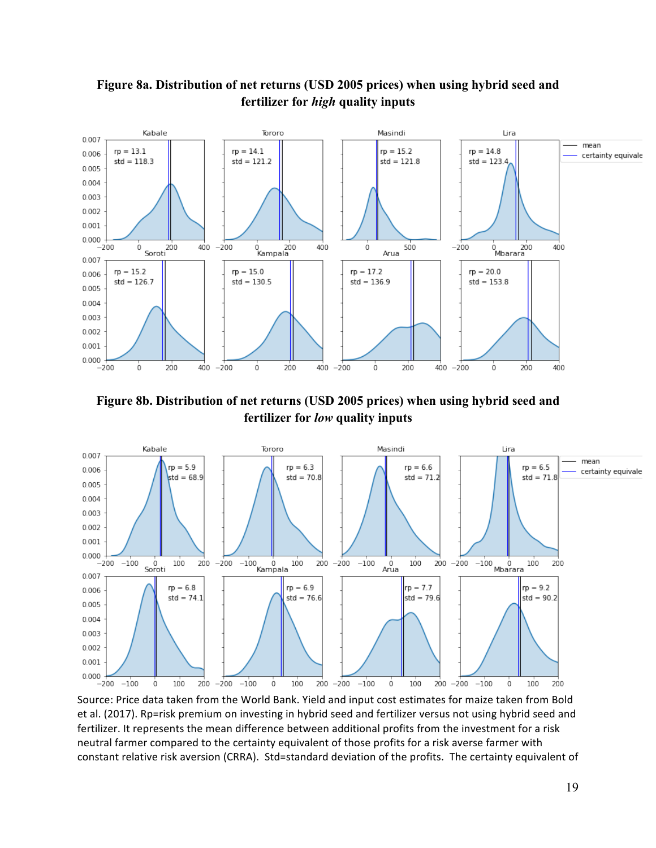

## **Figure 8a. Distribution of net returns (USD 2005 prices) when using hybrid seed and fertilizer for** *high* **quality inputs**

**Figure 8b. Distribution of net returns (USD 2005 prices) when using hybrid seed and fertilizer for** *low* **quality inputs**



Source: Price data taken from the World Bank. Yield and input cost estimates for maize taken from Bold et al. (2017). Rp=risk premium on investing in hybrid seed and fertilizer versus not using hybrid seed and fertilizer. It represents the mean difference between additional profits from the investment for a risk neutral farmer compared to the certainty equivalent of those profits for a risk averse farmer with constant relative risk aversion (CRRA). Std=standard deviation of the profits. The certainty equivalent of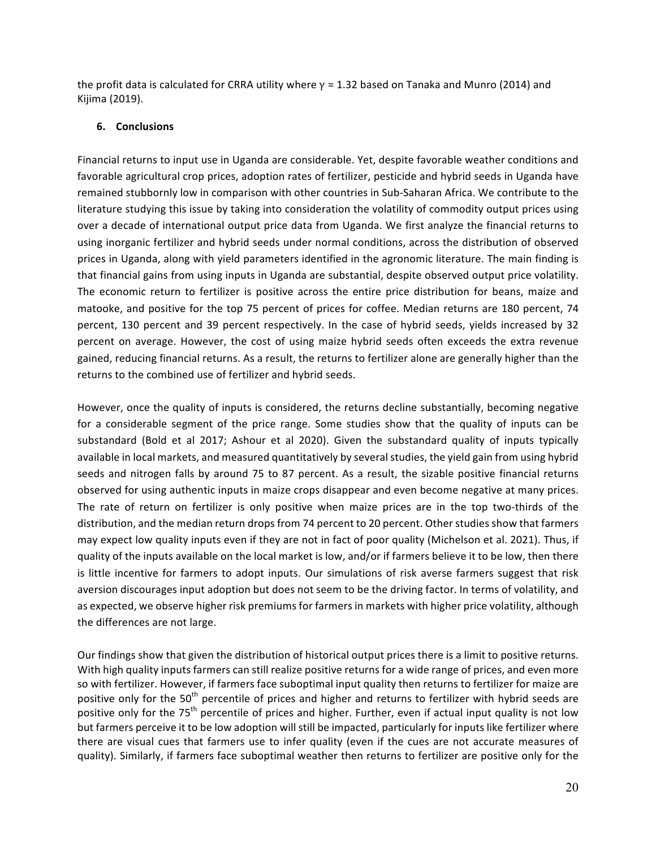the profit data is calculated for CRRA utility where  $\gamma$  = 1.32 based on Tanaka and Munro (2014) and Kijima (2019).

#### **6. Conclusions**

Financial returns to input use in Uganda are considerable. Yet, despite favorable weather conditions and favorable agricultural crop prices, adoption rates of fertilizer, pesticide and hybrid seeds in Uganda have remained stubbornly low in comparison with other countries in Sub-Saharan Africa. We contribute to the literature studying this issue by taking into consideration the volatility of commodity output prices using over a decade of international output price data from Uganda. We first analyze the financial returns to using inorganic fertilizer and hybrid seeds under normal conditions, across the distribution of observed prices in Uganda, along with yield parameters identified in the agronomic literature. The main finding is that financial gains from using inputs in Uganda are substantial, despite observed output price volatility. The economic return to fertilizer is positive across the entire price distribution for beans, maize and matooke, and positive for the top 75 percent of prices for coffee. Median returns are 180 percent, 74 percent, 130 percent and 39 percent respectively. In the case of hybrid seeds, yields increased by 32 percent on average. However, the cost of using maize hybrid seeds often exceeds the extra revenue gained, reducing financial returns. As a result, the returns to fertilizer alone are generally higher than the returns to the combined use of fertilizer and hybrid seeds.

However, once the quality of inputs is considered, the returns decline substantially, becoming negative for a considerable segment of the price range. Some studies show that the quality of inputs can be substandard (Bold et al 2017; Ashour et al 2020). Given the substandard quality of inputs typically available in local markets, and measured quantitatively by several studies, the yield gain from using hybrid seeds and nitrogen falls by around 75 to 87 percent. As a result, the sizable positive financial returns observed for using authentic inputs in maize crops disappear and even become negative at many prices. The rate of return on fertilizer is only positive when maize prices are in the top two-thirds of the distribution, and the median return drops from 74 percent to 20 percent. Other studies show that farmers may expect low quality inputs even if they are not in fact of poor quality (Michelson et al. 2021). Thus, if quality of the inputs available on the local market is low, and/or if farmers believe it to be low, then there is little incentive for farmers to adopt inputs. Our simulations of risk averse farmers suggest that risk aversion discourages input adoption but does not seem to be the driving factor. In terms of volatility, and as expected, we observe higher risk premiums for farmers in markets with higher price volatility, although the differences are not large.

Our findings show that given the distribution of historical output prices there is a limit to positive returns. With high quality inputs farmers can still realize positive returns for a wide range of prices, and even more so with fertilizer. However, if farmers face suboptimal input quality then returns to fertilizer for maize are positive only for the 50<sup>th</sup> percentile of prices and higher and returns to fertilizer with hybrid seeds are positive only for the 75<sup>th</sup> percentile of prices and higher. Further, even if actual input quality is not low but farmers perceive it to be low adoption will still be impacted, particularly for inputs like fertilizer where there are visual cues that farmers use to infer quality (even if the cues are not accurate measures of quality). Similarly, if farmers face suboptimal weather then returns to fertilizer are positive only for the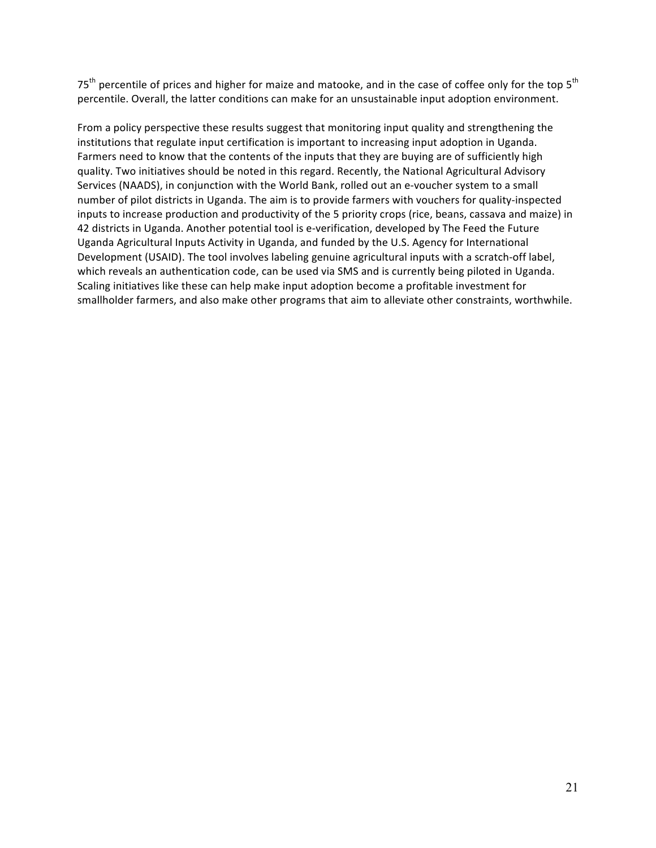$75<sup>th</sup>$  percentile of prices and higher for maize and matooke, and in the case of coffee only for the top  $5<sup>th</sup>$ percentile. Overall, the latter conditions can make for an unsustainable input adoption environment.

From a policy perspective these results suggest that monitoring input quality and strengthening the institutions that regulate input certification is important to increasing input adoption in Uganda. Farmers need to know that the contents of the inputs that they are buying are of sufficiently high quality. Two initiatives should be noted in this regard. Recently, the National Agricultural Advisory Services (NAADS), in conjunction with the World Bank, rolled out an e-voucher system to a small number of pilot districts in Uganda. The aim is to provide farmers with vouchers for quality-inspected inputs to increase production and productivity of the 5 priority crops (rice, beans, cassava and maize) in 42 districts in Uganda. Another potential tool is e-verification, developed by The Feed the Future Uganda Agricultural Inputs Activity in Uganda, and funded by the U.S. Agency for International Development (USAID). The tool involves labeling genuine agricultural inputs with a scratch-off label, which reveals an authentication code, can be used via SMS and is currently being piloted in Uganda. Scaling initiatives like these can help make input adoption become a profitable investment for smallholder farmers, and also make other programs that aim to alleviate other constraints, worthwhile.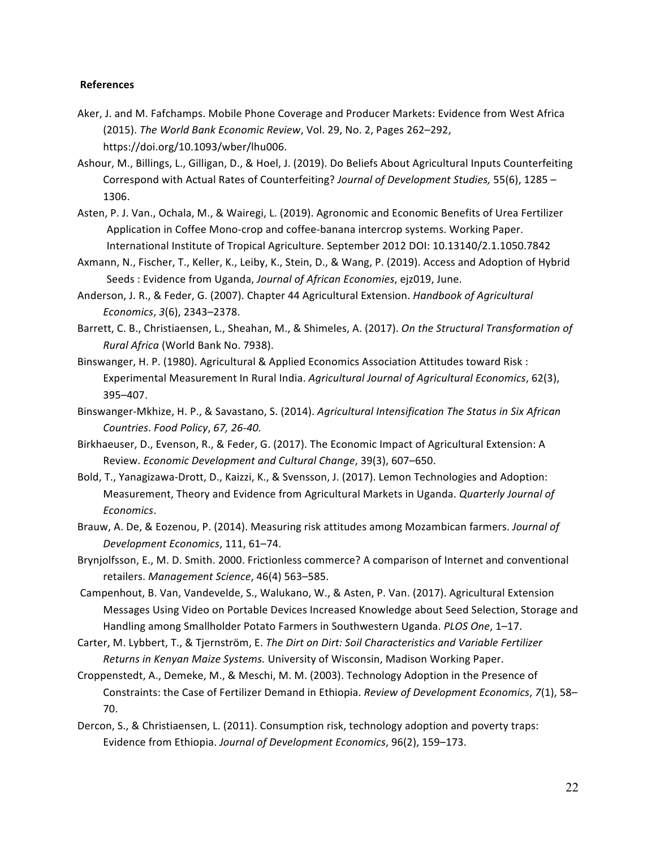#### **References**

- Aker, J. and M. Fafchamps. Mobile Phone Coverage and Producer Markets: Evidence from West Africa (2015). The World Bank Economic Review, Vol. 29, No. 2, Pages 262-292, https://doi.org/10.1093/wber/lhu006.
- Ashour, M., Billings, L., Gilligan, D., & Hoel, J. (2019). Do Beliefs About Agricultural Inputs Counterfeiting Correspond with Actual Rates of Counterfeiting? *Journal of Development Studies*, 55(6), 1285 -1306.
- Asten, P. J. Van., Ochala, M., & Wairegi, L. (2019). Agronomic and Economic Benefits of Urea Fertilizer Application in Coffee Mono-crop and coffee-banana intercrop systems. Working Paper. International Institute of Tropical Agriculture. September 2012 DOI: 10.13140/2.1.1050.7842
- Axmann, N., Fischer, T., Keller, K., Leiby, K., Stein, D., & Wang, P. (2019). Access and Adoption of Hybrid Seeds : Evidence from Uganda, *Journal of African Economies*, ejz019, June.
- Anderson, J. R., & Feder, G. (2007). Chapter 44 Agricultural Extension. *Handbook of Agricultural Economics*, *3*(6), 2343–2378.
- Barrett, C. B., Christiaensen, L., Sheahan, M., & Shimeles, A. (2017). On the Structural Transformation of *Rural Africa* (World Bank No. 7938).
- Binswanger, H. P. (1980). Agricultural & Applied Economics Association Attitudes toward Risk : Experimental Measurement In Rural India. *Agricultural Journal of Agricultural Economics*, 62(3), 395–407.
- Binswanger-Mkhize, H. P., & Savastano, S. (2014). *Agricultural Intensification The Status in Six African Countries*. *Food Policy*, *67, 26-40.*
- Birkhaeuser, D., Evenson, R., & Feder, G. (2017). The Economic Impact of Agricultural Extension: A Review. *Economic Development and Cultural Change*, 39(3), 607-650.
- Bold, T., Yanagizawa-Drott, D., Kaizzi, K., & Svensson, J. (2017). Lemon Technologies and Adoption: Measurement, Theory and Evidence from Agricultural Markets in Uganda. *Quarterly Journal of Economics*.
- Brauw, A. De, & Eozenou, P. (2014). Measuring risk attitudes among Mozambican farmers. *Journal of Development Economics*, 111, 61–74.
- Brynjolfsson, E., M. D. Smith. 2000. Frictionless commerce? A comparison of Internet and conventional retailers. Management Science, 46(4) 563-585.
- Campenhout, B. Van, Vandevelde, S., Walukano, W., & Asten, P. Van. (2017). Agricultural Extension Messages Using Video on Portable Devices Increased Knowledge about Seed Selection, Storage and Handling among Smallholder Potato Farmers in Southwestern Uganda. *PLOS One*, 1-17.
- Carter, M. Lybbert, T., & Tjernström, E. *The Dirt on Dirt: Soil Characteristics and Variable Fertilizer* Returns in Kenyan Maize Systems. University of Wisconsin, Madison Working Paper.
- Croppenstedt, A., Demeke, M., & Meschi, M. M. (2003). Technology Adoption in the Presence of Constraints: the Case of Fertilizer Demand in Ethiopia. *Review of Development Economics*, 7(1), 58– 70.
- Dercon, S., & Christiaensen, L. (2011). Consumption risk, technology adoption and poverty traps: Evidence from Ethiopia. Journal of Development Economics, 96(2), 159-173.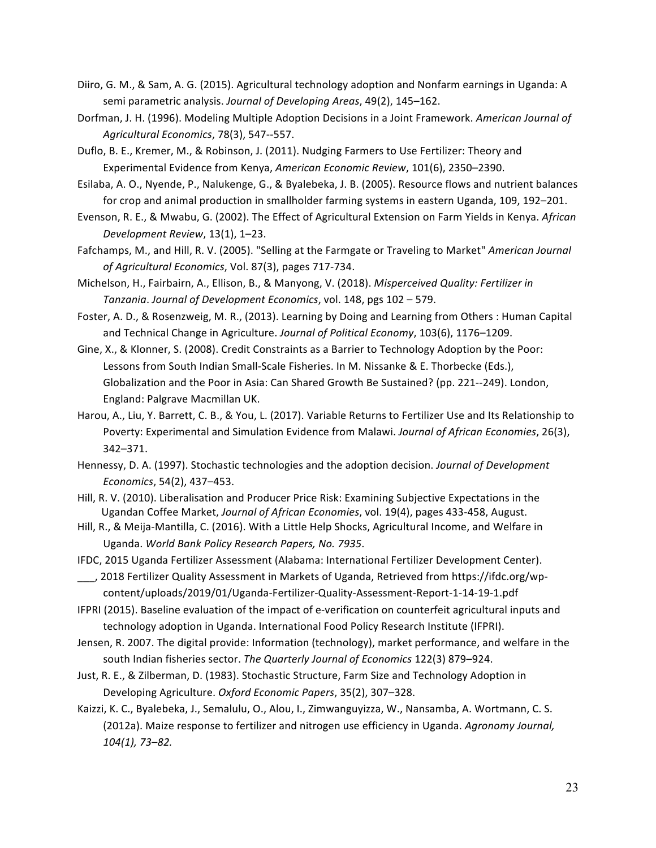- Diiro, G. M., & Sam, A. G. (2015). Agricultural technology adoption and Nonfarm earnings in Uganda: A semi parametric analysis. *Journal of Developing Areas*, 49(2), 145-162.
- Dorfman, J. H. (1996). Modeling Multiple Adoption Decisions in a Joint Framework. American Journal of *Agricultural Economics*, 78(3), 547--557.
- Duflo, B. E., Kremer, M., & Robinson, J. (2011). Nudging Farmers to Use Fertilizer: Theory and Experimental Evidence from Kenya, *American Economic Review*, 101(6), 2350–2390.
- Esilaba, A. O., Nyende, P., Nalukenge, G., & Byalebeka, J. B. (2005). Resource flows and nutrient balances for crop and animal production in smallholder farming systems in eastern Uganda, 109, 192-201.
- Evenson, R. E., & Mwabu, G. (2002). The Effect of Agricultural Extension on Farm Yields in Kenya. African *Development Review*, 13(1), 1–23.
- Fafchamps, M., and Hill, R. V. (2005). "Selling at the Farmgate or Traveling to Market" American Journal *of Agricultural Economics*, Vol. 87(3), pages 717-734.
- Michelson, H., Fairbairn, A., Ellison, B., & Manyong, V. (2018). *Misperceived Quality: Fertilizer in Tanzania*. *Journal of Development Economics*, vol. 148, pgs 102 – 579.
- Foster, A. D., & Rosenzweig, M. R., (2013). Learning by Doing and Learning from Others : Human Capital and Technical Change in Agriculture. Journal of Political Economy, 103(6), 1176-1209.
- Gine, X., & Klonner, S. (2008). Credit Constraints as a Barrier to Technology Adoption by the Poor: Lessons from South Indian Small-Scale Fisheries. In M. Nissanke & E. Thorbecke (Eds.), Globalization and the Poor in Asia: Can Shared Growth Be Sustained? (pp. 221--249). London, England: Palgrave Macmillan UK.
- Harou, A., Liu, Y. Barrett, C. B., & You, L. (2017). Variable Returns to Fertilizer Use and Its Relationship to Poverty: Experimental and Simulation Evidence from Malawi. *Journal of African Economies*, 26(3), 342–371.
- Hennessy, D. A. (1997). Stochastic technologies and the adoption decision. *Journal of Development Economics*, 54(2), 437–453.
- Hill, R. V. (2010). Liberalisation and Producer Price Risk: Examining Subjective Expectations in the Ugandan Coffee Market, Journal of African Economies, vol. 19(4), pages 433-458, August.
- Hill, R., & Meija-Mantilla, C. (2016). With a Little Help Shocks, Agricultural Income, and Welfare in Uganda. *World Bank Policy Research Papers, No. 7935*.
- IFDC, 2015 Uganda Fertilizer Assessment (Alabama: International Fertilizer Development Center).
- \_\_\_, 2018 Fertilizer Quality Assessment in Markets of Uganda, Retrieved from https://ifdc.org/wpcontent/uploads/2019/01/Uganda-Fertilizer-Quality-Assessment-Report-1-14-19-1.pdf
- IFPRI (2015). Baseline evaluation of the impact of e-verification on counterfeit agricultural inputs and technology adoption in Uganda. International Food Policy Research Institute (IFPRI).
- Jensen, R. 2007. The digital provide: Information (technology), market performance, and welfare in the south Indian fisheries sector. The Quarterly Journal of Economics 122(3) 879-924.
- Just, R. E., & Zilberman, D. (1983). Stochastic Structure, Farm Size and Technology Adoption in Developing Agriculture. *Oxford Economic Papers*, 35(2), 307–328.
- Kaizzi, K. C., Byalebeka, J., Semalulu, O., Alou, I., Zimwanguyizza, W., Nansamba, A. Wortmann, C. S. (2012a). Maize response to fertilizer and nitrogen use efficiency in Uganda. *Agronomy Journal*, *104(1), 73–82.*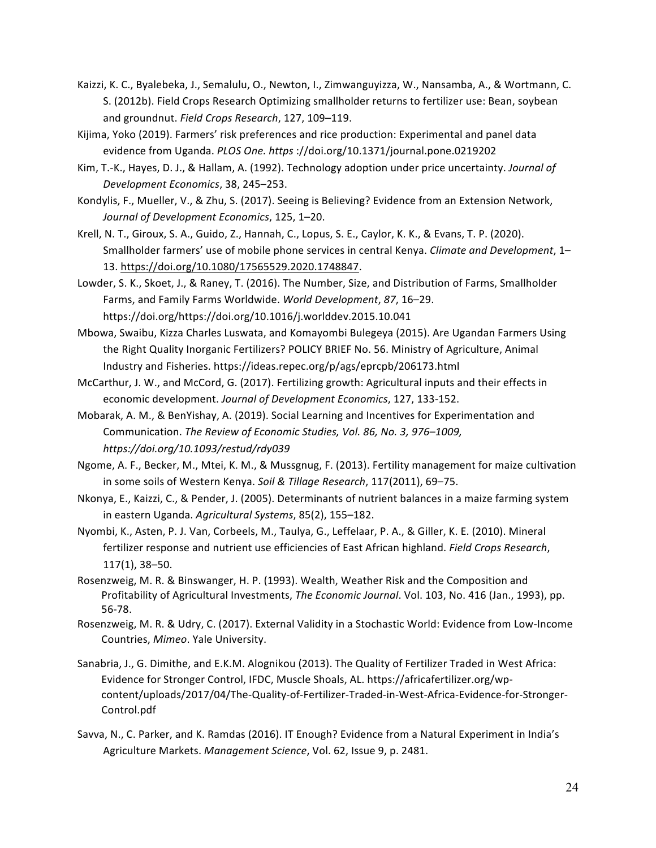- Kaizzi, K. C., Byalebeka, J., Semalulu, O., Newton, I., Zimwanguyizza, W., Nansamba, A., & Wortmann, C. S. (2012b). Field Crops Research Optimizing smallholder returns to fertilizer use: Bean, soybean and groundnut. Field Crops Research, 127, 109-119.
- Kijima, Yoko (2019). Farmers' risk preferences and rice production: Experimental and panel data evidence from Uganda. *PLOS One. https*://doi.org/10.1371/journal.pone.0219202
- Kim, T.-K., Hayes, D. J., & Hallam, A. (1992). Technology adoption under price uncertainty. *Journal of Development Economics*, 38, 245–253.
- Kondylis, F., Mueller, V., & Zhu, S. (2017). Seeing is Believing? Evidence from an Extension Network, Journal of Development Economics, 125, 1-20.
- Krell, N. T., Giroux, S. A., Guido, Z., Hannah, C., Lopus, S. E., Caylor, K. K., & Evans, T. P. (2020). Smallholder farmers' use of mobile phone services in central Kenya. *Climate and Development*, 1– 13. https://doi.org/10.1080/17565529.2020.1748847.
- Lowder, S. K., Skoet, J., & Raney, T. (2016). The Number, Size, and Distribution of Farms, Smallholder Farms, and Family Farms Worldwide. World Development, 87, 16-29. https://doi.org/https://doi.org/10.1016/j.worlddev.2015.10.041
- Mbowa, Swaibu, Kizza Charles Luswata, and Komayombi Bulegeya (2015). Are Ugandan Farmers Using the Right Quality Inorganic Fertilizers? POLICY BRIEF No. 56. Ministry of Agriculture, Animal Industry and Fisheries. https://ideas.repec.org/p/ags/eprcpb/206173.html
- McCarthur, J. W., and McCord, G. (2017). Fertilizing growth: Agricultural inputs and their effects in economic development. Journal of Development Economics, 127, 133-152.
- Mobarak, A. M., & BenYishay, A. (2019). Social Learning and Incentives for Experimentation and Communication. The Review of Economic Studies, Vol. 86, No. 3, 976-1009, *https://doi.org/10.1093/restud/rdy039*
- Ngome, A. F., Becker, M., Mtei, K. M., & Mussgnug, F. (2013). Fertility management for maize cultivation in some soils of Western Kenya. Soil & Tillage Research, 117(2011), 69-75.
- Nkonya, E., Kaizzi, C., & Pender, J. (2005). Determinants of nutrient balances in a maize farming system in eastern Uganda. Agricultural Systems, 85(2), 155–182.
- Nyombi, K., Asten, P. J. Van, Corbeels, M., Taulya, G., Leffelaar, P. A., & Giller, K. E. (2010). Mineral fertilizer response and nutrient use efficiencies of East African highland. Field Crops Research, 117(1), 38–50.
- Rosenzweig, M. R. & Binswanger, H. P. (1993). Wealth, Weather Risk and the Composition and Profitability of Agricultural Investments, *The Economic Journal*. Vol. 103, No. 416 (Jan., 1993), pp. 56-78.
- Rosenzweig, M. R. & Udry, C. (2017). External Validity in a Stochastic World: Evidence from Low-Income Countries, Mimeo. Yale University.
- Sanabria, J., G. Dimithe, and E.K.M. Alognikou (2013). The Quality of Fertilizer Traded in West Africa: Evidence for Stronger Control, IFDC, Muscle Shoals, AL. https://africafertilizer.org/wpcontent/uploads/2017/04/The-Quality-of-Fertilizer-Traded-in-West-Africa-Evidence-for-Stronger-Control.pdf
- Savva, N., C. Parker, and K. Ramdas (2016). IT Enough? Evidence from a Natural Experiment in India's Agriculture Markets. Management Science, Vol. 62, Issue 9, p. 2481.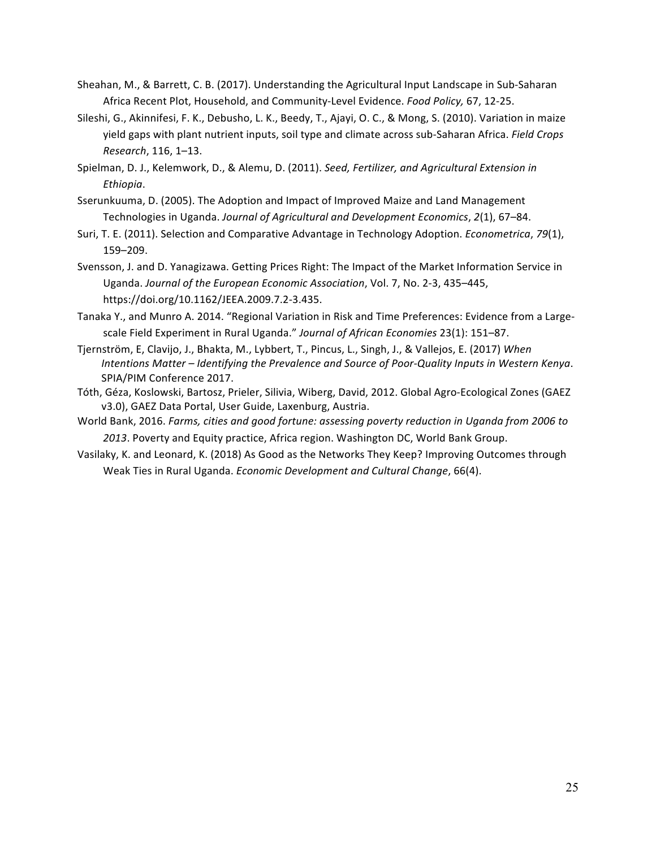- Sheahan, M., & Barrett, C. B. (2017). Understanding the Agricultural Input Landscape in Sub-Saharan Africa Recent Plot, Household, and Community-Level Evidence. *Food Policy*, 67, 12-25.
- Sileshi, G., Akinnifesi, F. K., Debusho, L. K., Beedy, T., Ajayi, O. C., & Mong, S. (2010). Variation in maize yield gaps with plant nutrient inputs, soil type and climate across sub-Saharan Africa. *Field Crops Research*, 116, 1–13.
- Spielman, D. J., Kelemwork, D., & Alemu, D. (2011). *Seed, Fertilizer, and Agricultural Extension in Ethiopia*.
- Sserunkuuma, D. (2005). The Adoption and Impact of Improved Maize and Land Management Technologies in Uganda. Journal of Agricultural and Development Economics, 2(1), 67-84.
- Suri, T. E. (2011). Selection and Comparative Advantage in Technology Adoption. *Econometrica*, 79(1), 159–209.
- Svensson, J. and D. Yanagizawa. Getting Prices Right: The Impact of the Market Information Service in Uganda. Journal of the European Economic Association, Vol. 7, No. 2-3, 435-445, https://doi.org/10.1162/JEEA.2009.7.2-3.435.
- Tanaka Y., and Munro A. 2014. "Regional Variation in Risk and Time Preferences: Evidence from a Largescale Field Experiment in Rural Uganda." *Journal of African Economies* 23(1): 151–87.
- Tjernström, E, Clavijo, J., Bhakta, M., Lybbert, T., Pincus, L., Singh, J., & Vallejos, E. (2017) When *Intentions Matter* – *Identifying the Prevalence and Source of Poor-Quality Inputs in Western Kenya.* SPIA/PIM Conference 2017.
- Tóth, Géza, Koslowski, Bartosz, Prieler, Silivia, Wiberg, David, 2012. Global Agro-Ecological Zones (GAEZ v3.0), GAEZ Data Portal, User Guide, Laxenburg, Austria.
- World Bank, 2016. *Farms, cities and good fortune: assessing poverty reduction in Uganda from 2006 to* 2013. Poverty and Equity practice, Africa region. Washington DC, World Bank Group.
- Vasilaky, K. and Leonard, K. (2018) As Good as the Networks They Keep? Improving Outcomes through Weak Ties in Rural Uganda. *Economic Development and Cultural Change*, 66(4).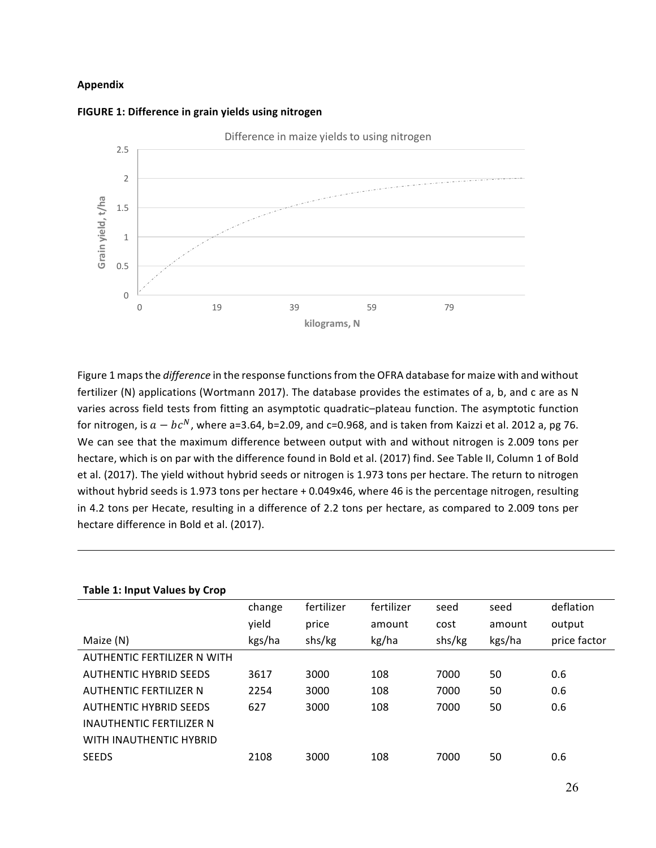#### **Appendix**





Figure 1 maps the *difference* in the response functions from the OFRA database for maize with and without fertilizer (N) applications (Wortmann 2017). The database provides the estimates of a, b, and c are as N varies across field tests from fitting an asymptotic quadratic-plateau function. The asymptotic function for nitrogen, is  $a - bc^N$ , where a=3.64, b=2.09, and c=0.968, and is taken from Kaizzi et al. 2012 a, pg 76. We can see that the maximum difference between output with and without nitrogen is 2.009 tons per hectare, which is on par with the difference found in Bold et al. (2017) find. See Table II, Column 1 of Bold et al. (2017). The yield without hybrid seeds or nitrogen is 1.973 tons per hectare. The return to nitrogen without hybrid seeds is 1.973 tons per hectare + 0.049x46, where 46 is the percentage nitrogen, resulting in 4.2 tons per Hecate, resulting in a difference of 2.2 tons per hectare, as compared to 2.009 tons per hectare difference in Bold et al. (2017).

| <b>Table 1: Input Values by Crop</b> |        |            |            |        |        |              |
|--------------------------------------|--------|------------|------------|--------|--------|--------------|
|                                      | change | fertilizer | fertilizer | seed   | seed   | deflation    |
|                                      | yield  | price      | amount     | cost   | amount | output       |
| Maize (N)                            | kgs/ha | shs/kg     | kg/ha      | shs/kg | kgs/ha | price factor |
| AUTHENTIC FERTILIZER N WITH          |        |            |            |        |        |              |
| <b>AUTHENTIC HYBRID SEEDS</b>        | 3617   | 3000       | 108        | 7000   | 50     | 0.6          |
| <b>AUTHENTIC FERTILIZER N</b>        | 2254   | 3000       | 108        | 7000   | 50     | 0.6          |
| <b>AUTHENTIC HYBRID SEEDS</b>        | 627    | 3000       | 108        | 7000   | 50     | 0.6          |
| INAUTHENTIC FERTILIZER N             |        |            |            |        |        |              |
| WITH INAUTHENTIC HYBRID              |        |            |            |        |        |              |
| <b>SEEDS</b>                         | 2108   | 3000       | 108        | 7000   | 50     | 0.6          |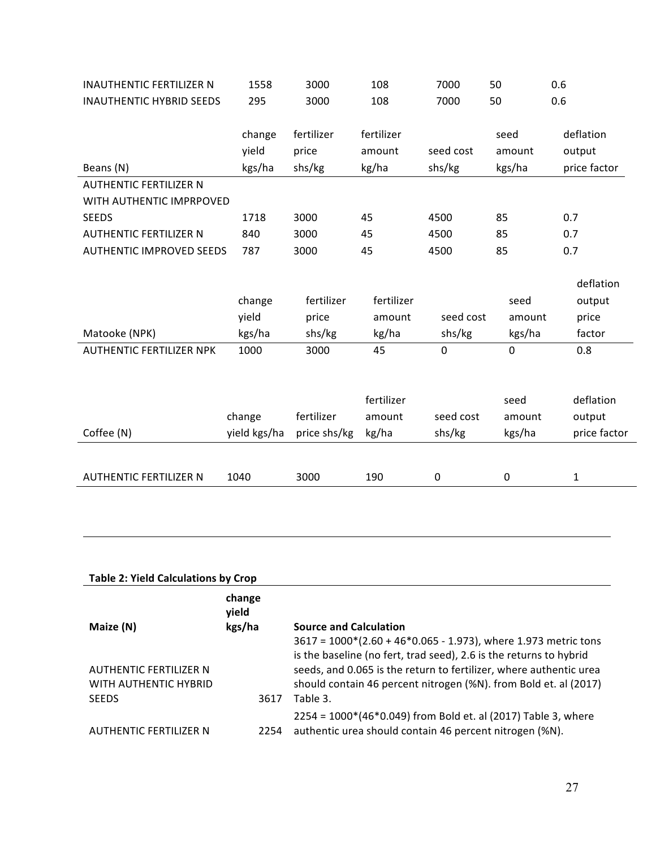| <b>INAUTHENTIC FERTILIZER N</b> | 1558         | 3000         | 108        | 7000      | 50          | 0.6          |
|---------------------------------|--------------|--------------|------------|-----------|-------------|--------------|
| <b>INAUTHENTIC HYBRID SEEDS</b> | 295          | 3000         | 108        | 7000      | 50          | 0.6          |
|                                 |              |              |            |           |             |              |
|                                 | change       | fertilizer   | fertilizer |           | seed        | deflation    |
|                                 | yield        | price        | amount     | seed cost | amount      | output       |
| Beans (N)                       | kgs/ha       | shs/kg       | kg/ha      | shs/kg    | kgs/ha      | price factor |
| <b>AUTHENTIC FERTILIZER N</b>   |              |              |            |           |             |              |
| WITH AUTHENTIC IMPRPOVED        |              |              |            |           |             |              |
| <b>SEEDS</b>                    | 1718         | 3000         | 45         | 4500      | 85          | 0.7          |
| <b>AUTHENTIC FERTILIZER N</b>   | 840          | 3000         | 45         | 4500      | 85          | 0.7          |
| <b>AUTHENTIC IMPROVED SEEDS</b> | 787          | 3000         | 45         | 4500      | 85          | 0.7          |
|                                 |              |              |            |           |             |              |
|                                 |              |              |            |           |             | deflation    |
|                                 | change       | fertilizer   | fertilizer |           | seed        | output       |
|                                 | yield        | price        | amount     | seed cost | amount      | price        |
| Matooke (NPK)                   | kgs/ha       | shs/kg       | kg/ha      | shs/kg    | kgs/ha      | factor       |
| <b>AUTHENTIC FERTILIZER NPK</b> | 1000         | 3000         | 45         | $\Omega$  | 0           | 0.8          |
|                                 |              |              |            |           |             |              |
|                                 |              |              |            |           |             |              |
|                                 |              |              | fertilizer |           | seed        | deflation    |
|                                 | change       | fertilizer   | amount     | seed cost | amount      | output       |
| Coffee (N)                      | yield kgs/ha | price shs/kg | kg/ha      | shs/kg    | kgs/ha      | price factor |
|                                 |              |              |            |           |             |              |
|                                 |              |              |            |           |             |              |
| <b>AUTHENTIC FERTILIZER N</b>   | 1040         | 3000         | 190        | 0         | $\mathbf 0$ | 1            |

## **Table 2: Yield Calculations by Crop**

| Maize (N)                                       | change<br>yield<br>kgs/ha | <b>Source and Calculation</b><br>$3617 = 1000*(2.60 + 46*0.065 - 1.973)$ , where 1.973 metric tons<br>is the baseline (no fert, trad seed), 2.6 is the returns to hybrid |
|-------------------------------------------------|---------------------------|--------------------------------------------------------------------------------------------------------------------------------------------------------------------------|
| AUTHENTIC FERTILIZER N<br>WITH AUTHENTIC HYBRID |                           | seeds, and 0.065 is the return to fertilizer, where authentic urea<br>should contain 46 percent nitrogen (%N). from Bold et. al (2017)                                   |
| <b>SEEDS</b><br>AUTHENTIC FERTILIZER N          | 3617<br>2254              | Table 3.<br>2254 = 1000*(46*0.049) from Bold et. al (2017) Table 3, where<br>authentic urea should contain 46 percent nitrogen (%N).                                     |
|                                                 |                           |                                                                                                                                                                          |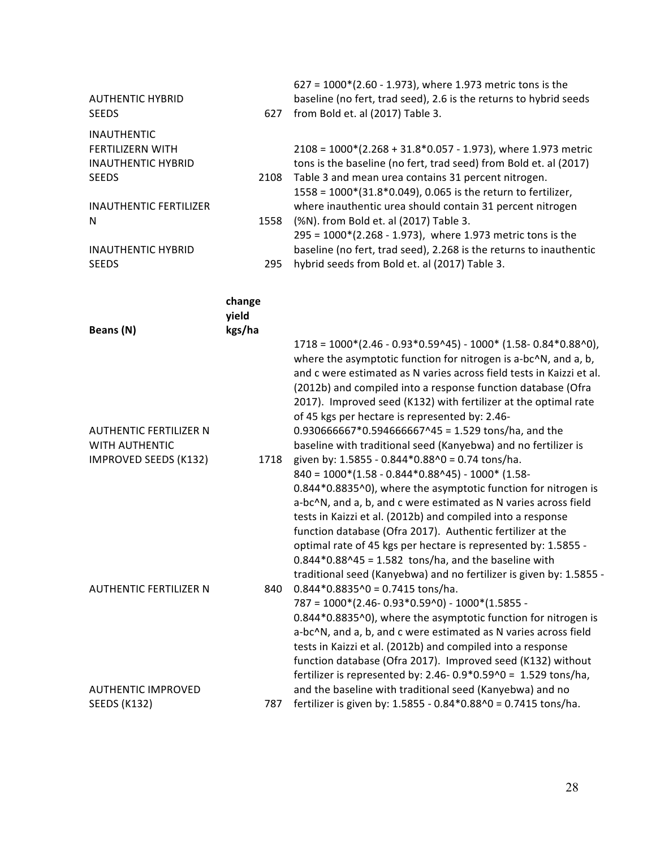| <b>AUTHENTIC HYBRID</b><br><b>SEEDS</b>                              | 627             | 627 = 1000*(2.60 - 1.973), where 1.973 metric tons is the<br>baseline (no fert, trad seed), 2.6 is the returns to hybrid seeds<br>from Bold et. al (2017) Table 3.                                                                                                                                                                                                                         |
|----------------------------------------------------------------------|-----------------|--------------------------------------------------------------------------------------------------------------------------------------------------------------------------------------------------------------------------------------------------------------------------------------------------------------------------------------------------------------------------------------------|
| <b>INAUTHENTIC</b>                                                   |                 |                                                                                                                                                                                                                                                                                                                                                                                            |
| <b>FERTILIZERN WITH</b><br><b>INAUTHENTIC HYBRID</b><br><b>SEEDS</b> | 2108            | $2108 = 1000*(2.268 + 31.8*0.057 - 1.973)$ , where 1.973 metric<br>tons is the baseline (no fert, trad seed) from Bold et. al (2017)<br>Table 3 and mean urea contains 31 percent nitrogen.                                                                                                                                                                                                |
| <b>INAUTHENTIC FERTILIZER</b>                                        |                 | 1558 = 1000*(31.8*0.049), 0.065 is the return to fertilizer,<br>where inauthentic urea should contain 31 percent nitrogen                                                                                                                                                                                                                                                                  |
| N                                                                    | 1558            | (%N). from Bold et. al (2017) Table 3.<br>295 = 1000*(2.268 - 1.973), where 1.973 metric tons is the                                                                                                                                                                                                                                                                                       |
| <b>INAUTHENTIC HYBRID</b><br><b>SEEDS</b>                            | 295             | baseline (no fert, trad seed), 2.268 is the returns to inauthentic<br>hybrid seeds from Bold et. al (2017) Table 3.                                                                                                                                                                                                                                                                        |
|                                                                      | change<br>yield |                                                                                                                                                                                                                                                                                                                                                                                            |
| Beans (N)                                                            | kgs/ha          | $1718 = 1000*(2.46 - 0.93*0.59*45) - 1000*(1.58 - 0.84*0.88*0),$                                                                                                                                                                                                                                                                                                                           |
|                                                                      |                 | where the asymptotic function for nitrogen is a-bc^N, and a, b,<br>and c were estimated as N varies across field tests in Kaizzi et al.<br>(2012b) and compiled into a response function database (Ofra<br>2017). Improved seed (K132) with fertilizer at the optimal rate<br>of 45 kgs per hectare is represented by: 2.46-                                                               |
| <b>AUTHENTIC FERTILIZER N</b><br>WITH AUTHENTIC                      |                 | $0.930666667*0.594666667^45 = 1.529 \text{ tons/ha}$ , and the<br>baseline with traditional seed (Kanyebwa) and no fertilizer is                                                                                                                                                                                                                                                           |
| IMPROVED SEEDS (K132)                                                | 1718            | given by: 1.5855 - 0.844*0.88^0 = 0.74 tons/ha.<br>$840 = 1000*(1.58 - 0.844*0.88^45) - 1000*(1.58-0.844*)$                                                                                                                                                                                                                                                                                |
|                                                                      |                 | 0.844*0.8835^0), where the asymptotic function for nitrogen is<br>a-bc^N, and a, b, and c were estimated as N varies across field<br>tests in Kaizzi et al. (2012b) and compiled into a response<br>function database (Ofra 2017). Authentic fertilizer at the<br>optimal rate of 45 kgs per hectare is represented by: 1.5855 -<br>$0.844*0.88^45 = 1.582$ tons/ha, and the baseline with |
| <b>AUTHENTIC FERTILIZER N</b>                                        | 840             | traditional seed (Kanyebwa) and no fertilizer is given by: 1.5855 -<br>$0.844*0.8835*0 = 0.7415$ tons/ha.<br>$787 = 1000*(2.46 - 0.93*0.59*0) - 1000*(1.5855 -$<br>0.844*0.8835^0), where the asymptotic function for nitrogen is                                                                                                                                                          |
|                                                                      |                 | a-bc^N, and a, b, and c were estimated as N varies across field<br>tests in Kaizzi et al. (2012b) and compiled into a response<br>function database (Ofra 2017). Improved seed (K132) without<br>fertilizer is represented by: 2.46-0.9*0.59^0 = 1.529 tons/ha,                                                                                                                            |
| <b>AUTHENTIC IMPROVED</b><br>SEEDS (K132)                            | 787             | and the baseline with traditional seed (Kanyebwa) and no<br>fertilizer is given by: 1.5855 - 0.84*0.88^0 = 0.7415 tons/ha.                                                                                                                                                                                                                                                                 |
|                                                                      |                 |                                                                                                                                                                                                                                                                                                                                                                                            |